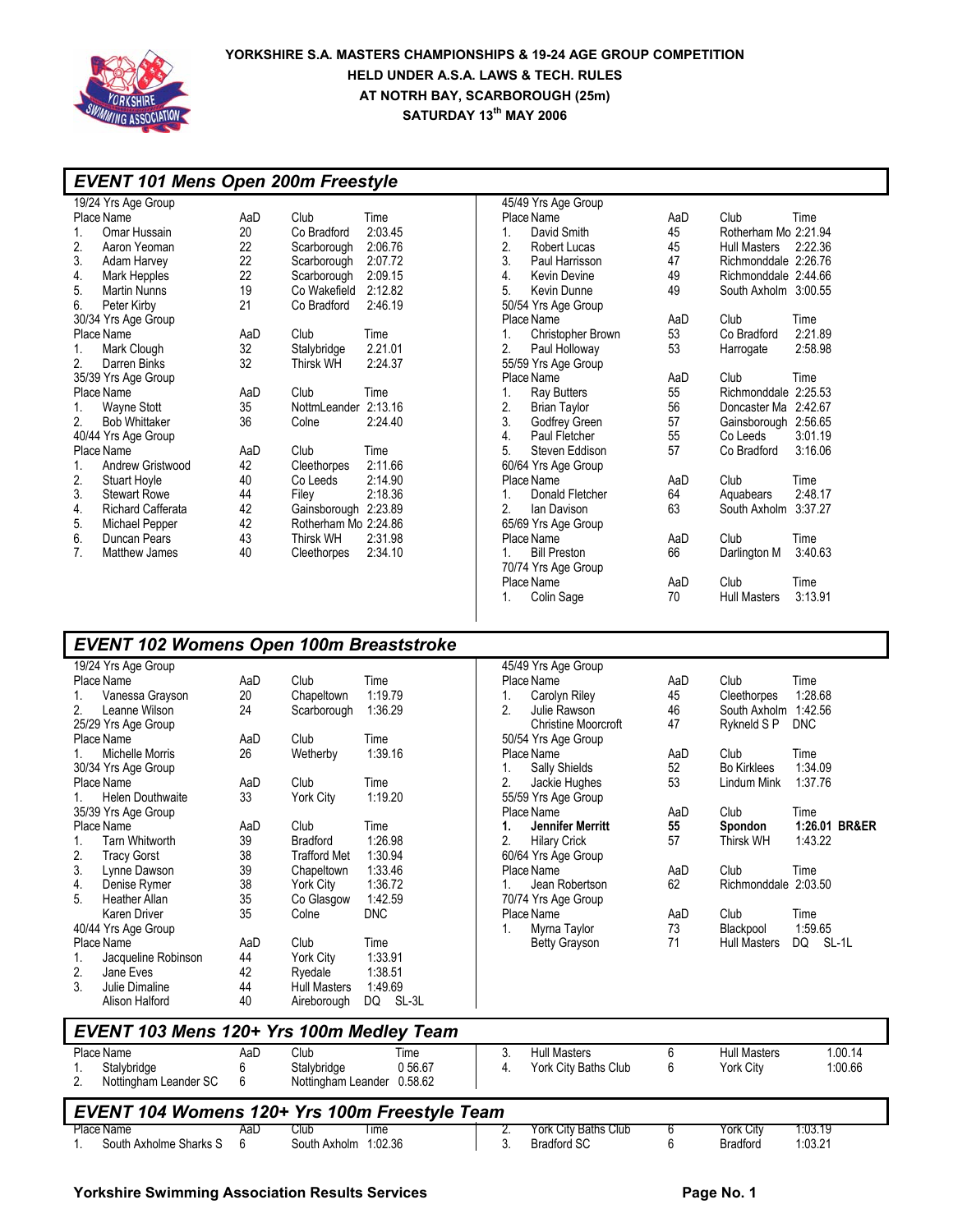

| <b>EVENT 101 Mens Open 200m Freestyle</b>                   |          |                         |                            |    |                                       |           |                      |                       |
|-------------------------------------------------------------|----------|-------------------------|----------------------------|----|---------------------------------------|-----------|----------------------|-----------------------|
| 19/24 Yrs Age Group                                         |          |                         |                            |    | 45/49 Yrs Age Group                   |           |                      |                       |
| Place Name                                                  | AaD      | Club                    | Time                       |    | Place Name                            | AaD       | Club                 | Time                  |
| 1.<br>Omar Hussain                                          | 20       | Co Bradford             | 2:03.45                    | 1. | David Smith                           | 45        | Rotherham Mo 2:21.94 |                       |
| 2.<br>Aaron Yeoman                                          | 22       | Scarborough             | 2:06.76                    | 2. | Robert Lucas                          | 45        | Hull Masters         | 2:22.36               |
| 3.<br>Adam Harvey                                           | 22       | Scarborough             | 2:07.72                    | 3. | Paul Harrisson                        | 47        | Richmonddale 2:26.76 |                       |
| 4.<br><b>Mark Hepples</b>                                   | 22       | Scarborough             | 2:09.15                    | 4. | <b>Kevin Devine</b>                   | 49        | Richmonddale 2:44.66 |                       |
| 5.<br><b>Martin Nunns</b>                                   | 19       | Co Wakefield 2:12.82    |                            | 5. | Kevin Dunne                           | 49        | South Axholm 3:00.55 |                       |
| 6.<br>Peter Kirby                                           | 21       | Co Bradford             | 2:46.19                    |    | 50/54 Yrs Age Group                   |           |                      |                       |
| 30/34 Yrs Age Group                                         |          |                         |                            |    | Place Name                            | AaD       | Club                 | Time                  |
| Place Name                                                  | AaD      | Club                    | Time                       | 1. | Christopher Brown                     | 53        | Co Bradford          | 2:21.89               |
| 1.<br>Mark Clough                                           | 32       | Stalybridge             | 2.21.01                    | 2. | Paul Holloway                         | 53        | Harrogate            | 2:58.98               |
| 2.<br>Darren Binks                                          | 32       | <b>Thirsk WH</b>        | 2:24.37                    |    | 55/59 Yrs Age Group                   |           |                      |                       |
| 35/39 Yrs Age Group                                         |          |                         |                            |    | Place Name                            | AaD       | Club                 | Time                  |
| Place Name                                                  | AaD      | Club                    | Time                       | 1. | <b>Ray Butters</b>                    | 55        | Richmonddale 2:25.53 |                       |
| 1.<br><b>Wayne Stott</b>                                    | 35       | NottmLeander 2:13.16    |                            | 2. | <b>Brian Taylor</b>                   | 56        | Doncaster Ma 2:42.67 |                       |
| 2.<br><b>Bob Whittaker</b>                                  | 36       | Colne                   | 2:24.40                    | 3. | Godfrey Green                         | 57        | Gainsborough 2:56.65 |                       |
| 40/44 Yrs Age Group                                         |          |                         |                            | 4. | Paul Fletcher                         | 55        | Co Leeds             | 3:01.19               |
| Place Name                                                  | AaD      | Club                    | Time                       | 5. | Steven Eddison                        | 57        | Co Bradford          | 3:16.06               |
| 1.<br>Andrew Gristwood                                      | 42       | Cleethorpes             | 2:11.66                    |    | 60/64 Yrs Age Group                   |           |                      |                       |
| 2.<br><b>Stuart Hoyle</b>                                   | 40       | Co Leeds                | 2:14.90                    |    | Place Name                            | AaD       | Club                 | Time                  |
| 3.<br><b>Stewart Rowe</b>                                   | 44       | Filey                   | 2:18.36                    | 1. | Donald Fletcher                       | 64        | Aquabears            | 2:48.17               |
| 4.<br><b>Richard Cafferata</b>                              | 42       | Gainsborough 2:23.89    |                            | 2. | lan Davison                           | 63        | South Axholm 3:37.27 |                       |
| 5.<br>Michael Pepper                                        | 42       | Rotherham Mo 2:24.86    |                            |    | 65/69 Yrs Age Group                   |           |                      |                       |
| 6.<br>Duncan Pears                                          | 43       | <b>Thirsk WH</b>        | 2:31.98                    |    | Place Name                            | AaD       | Club                 | Time                  |
| 7.<br>Matthew James                                         | 40       | Cleethorpes             | 2:34.10                    | 1. | <b>Bill Preston</b>                   | 66        | Darlington M         | 3:40.63               |
|                                                             |          |                         |                            |    | 70/74 Yrs Age Group                   |           |                      |                       |
|                                                             |          |                         |                            |    | Place Name                            | AaD       | Club                 | Time<br>3:13.91       |
|                                                             |          |                         |                            | 1. | Colin Sage                            | 70        | <b>Hull Masters</b>  |                       |
|                                                             |          |                         |                            |    |                                       |           |                      |                       |
|                                                             |          |                         |                            |    |                                       |           |                      |                       |
| <b>EVENT 102 Womens Open 100m Breaststroke</b>              |          |                         |                            |    |                                       |           |                      |                       |
| 19/24 Yrs Age Group                                         |          |                         |                            |    | 45/49 Yrs Age Group                   |           |                      |                       |
| Place Name                                                  | AaD      | Club                    | Time                       |    | Place Name                            | AaD       | Club                 | Time                  |
| 1.<br>Vanessa Grayson                                       | 20       | Chapeltown              | 1:19.79                    | 1. | Carolyn Riley                         | 45        | Cleethorpes          | 1:28.68               |
| 2.<br>Leanne Wilson                                         | 24       | Scarborough             | 1:36.29                    | 2. | Julie Rawson                          | 46        | South Axholm 1:42.56 |                       |
| 25/29 Yrs Age Group                                         |          |                         |                            |    | <b>Christine Moorcroft</b>            | 47        | Rykneld S P          | DNC                   |
| Place Name                                                  | AaD      | Club                    | Time                       |    | 50/54 Yrs Age Group                   |           |                      |                       |
| <b>Michelle Morris</b><br>1.                                | 26       | Wetherby                | 1:39.16                    |    | Place Name                            | AaD       | Club                 | Time                  |
| 30/34 Yrs Age Group                                         |          |                         |                            | 1. | <b>Sally Shields</b>                  | 52        | <b>Bo Kirklees</b>   | 1:34.09               |
| Place Name                                                  | AaD      | Club                    | Time                       | 2. | Jackie Hughes                         | 53        | Lindum Mink          | 1:37.76               |
| <b>Helen Douthwaite</b><br>1.                               | 33       | York City               | 1:19.20                    |    | 55/59 Yrs Age Group                   |           |                      |                       |
| 35/39 Yrs Age Group                                         |          | Club                    |                            |    | Place Name<br><b>Jennifer Merritt</b> | AaD<br>55 | Club                 | Time<br>1:26.01 BR&ER |
| Place Name                                                  | AaD      | <b>Bradford</b>         | Time<br>1:26.98            | 1. |                                       | 57        | Spondon<br>Thirsk WH | 1:43.22               |
| <b>Tarn Whitworth</b><br>1.<br>2.                           | 39<br>38 | <b>Trafford Met</b>     | 1:30.94                    | 2. | <b>Hilary Crick</b>                   |           |                      |                       |
| <b>Tracy Gorst</b><br>3.<br>Lynne Dawson                    | 39       |                         | 1:33.46                    |    | 60/64 Yrs Age Group<br>Place Name     | AaD       | Club                 | Time                  |
| Denise Rymer<br>4.                                          | 38       | Chapeltown<br>York City | 1:36.72                    | 1. | Jean Robertson                        | 62        | Richmonddale 2:03.50 |                       |
| 5.<br>Heather Allan                                         | 35       | Co Glasgow              | 1:42.59                    |    | 70/74 Yrs Age Group                   |           |                      |                       |
| Karen Driver                                                | 35       | Colne                   | <b>DNC</b>                 |    | Place Name                            | AaD       | Club                 | Time                  |
|                                                             |          |                         |                            | 1. | Myrna Taylor                          | 73        | Blackpool            | 1:59.65               |
| 40/44 Yrs Age Group<br>Place Name                           | AaD      | Club                    | Time                       |    | <b>Betty Grayson</b>                  | 71        | Hull Masters         | DQ SL-1L              |
| Jacqueline Robinson<br>1.                                   | 44       | York City               | 1:33.91                    |    |                                       |           |                      |                       |
| 2.<br>Jane Eves                                             | 42       | Ryedale                 | 1:38.51                    |    |                                       |           |                      |                       |
| 3.<br>Julie Dimaline                                        | 44       | <b>Hull Masters</b>     | 1:49.69                    |    |                                       |           |                      |                       |
| Alison Halford                                              | 40       | Aireborough             | DQ SL-3L                   |    |                                       |           |                      |                       |
|                                                             |          |                         |                            |    |                                       |           |                      |                       |
| EVENT 103 Mens 120+ Yrs 100m Medley Team                    |          |                         |                            |    |                                       |           |                      |                       |
| Place Name                                                  | AaD      | Club                    | Time                       | 3. | <b>Hull Masters</b>                   | 6         | <b>Hull Masters</b>  | 1.00.14               |
| Stalybridge<br>1.                                           | 6        | Stalybridge             | 056.67                     | 4. | York City Baths Club                  | 6         | York City            | 1:00.66               |
| 2.<br>Nottingham Leander SC                                 | 6        |                         | Nottingham Leander 0.58.62 |    |                                       |           |                      |                       |
|                                                             |          |                         |                            |    |                                       |           |                      |                       |
| EVENT 104 Womens 120+ Yrs 100m Freestyle Team<br>Place Name | AaD      | Club                    | Time                       | 2. | York City Baths Club                  | 6         | <b>York City</b>     | 1:03.19               |
| South Axholme Sharks S<br>1.                                | 6        | South Axholm 1:02.36    |                            | 3. | <b>Bradford SC</b>                    | 6         | <b>Bradford</b>      | 1:03.21               |
|                                                             |          |                         |                            |    |                                       |           |                      |                       |
|                                                             |          |                         |                            |    |                                       |           |                      |                       |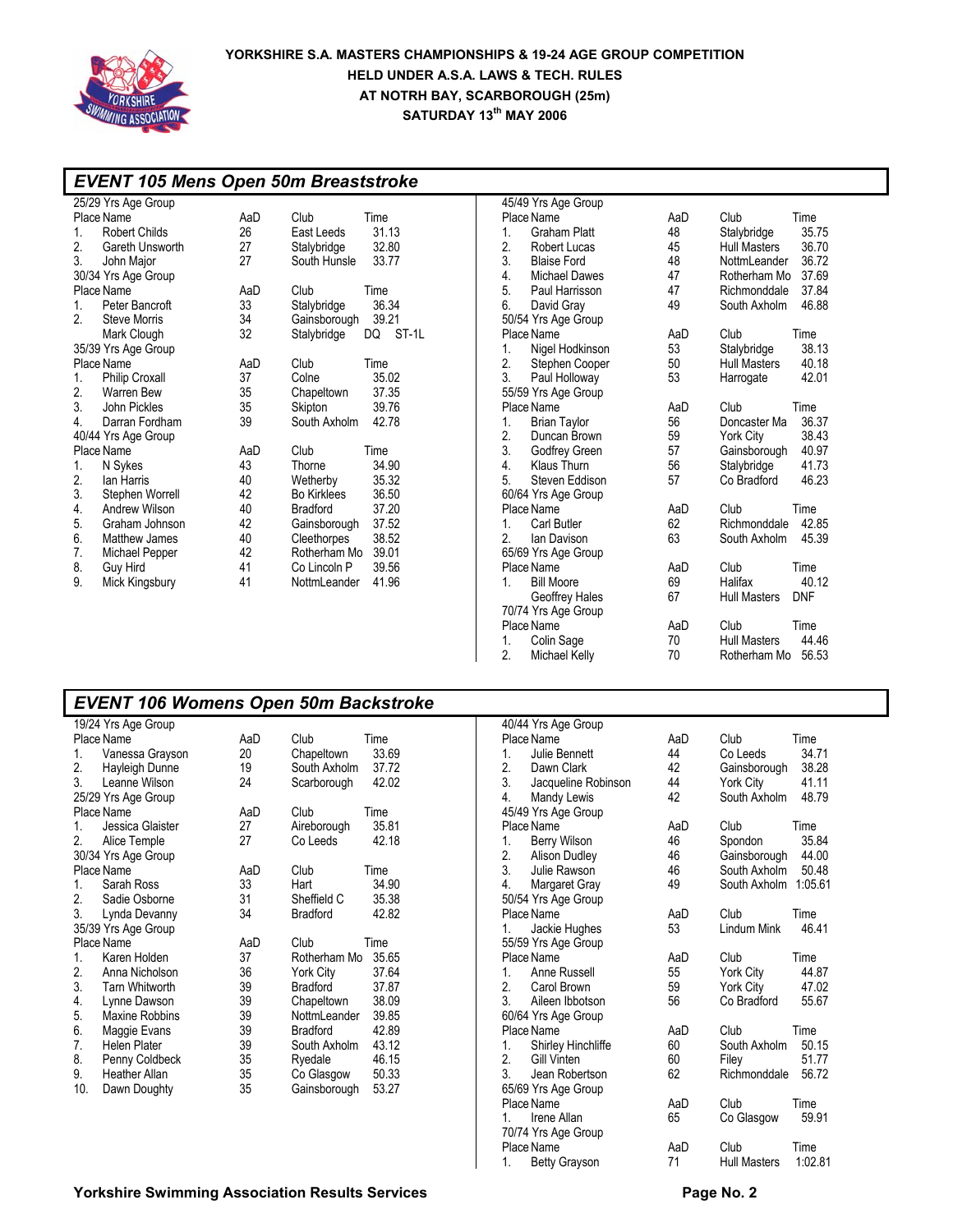

### *EVENT 105 Mens Open 50m Breaststroke*

|                  | 25/29 Yrs Age Group   |     |                    |             |
|------------------|-----------------------|-----|--------------------|-------------|
|                  | Place Name            | AaD | Club               | Time        |
| 1.               | <b>Robert Childs</b>  | 26  | East Leeds         | 31.13       |
| 2.               | Gareth Unsworth       | 27  | Stalybridge        | 32.80       |
| 3.               | John Major            | 27  | South Hunsle       | 33.77       |
|                  | 30/34 Yrs Age Group   |     |                    |             |
|                  | Place Name            | AaD | Club               | Time        |
| 1.               | Peter Bancroft        | 33  | Stalybridge        | 36.34       |
| $\overline{2}$ . | <b>Steve Morris</b>   | 34  | Gainsborough       | 39.21       |
|                  | Mark Clough           | 32  | Stalybridge        | ST-1L<br>DQ |
|                  | 35/39 Yrs Age Group   |     |                    |             |
|                  | Place Name            | AaD | Club               | Time        |
| 1.               | <b>Philip Croxall</b> | 37  | Colne              | 35.02       |
| 2.               | <b>Warren Bew</b>     | 35  | Chapeltown         | 37.35       |
| 3.               | John Pickles          | 35  | Skipton            | 39.76       |
| 4.               | Darran Fordham        | 39  | South Axholm       | 42.78       |
|                  | 40/44 Yrs Age Group   |     |                    |             |
|                  | Place Name            | AaD | Club               | Time        |
| 1.               | N Sykes               | 43  | Thorne             | 34.90       |
| 2.               | lan Harris            | 40  | Wetherby           | 35.32       |
| 3.               | Stephen Worrell       | 42  | <b>Bo Kirklees</b> | 36.50       |
| 4.               | Andrew Wilson         | 40  | Bradford           | 37.20       |
| 5.               | Graham Johnson        | 42  | Gainsborough       | 37.52       |
| 6.               | <b>Matthew James</b>  | 40  | Cleethorpes        | 38.52       |
| 7.               | Michael Pepper        | 42  | Rotherham Mo       | 39.01       |
| 8.               | Guy Hird              | 41  | Co Lincoln P       | 39.56       |
| 9.               | Mick Kingsbury        | 41  | NottmLeander       | 41.96       |
|                  |                       |     |                    |             |

|    | 45/49 Yrs Age Group   |     |                     |            |
|----|-----------------------|-----|---------------------|------------|
|    | Place Name            | AaD | Club                | Time       |
| 1. | Graham Platt          | 48  | Stalybridge         | 35.75      |
| 2. | <b>Robert Lucas</b>   | 45  | <b>Hull Masters</b> | 36.70      |
| 3. | <b>Blaise Ford</b>    | 48  | NottmLeander        | 36.72      |
| 4. | <b>Michael Dawes</b>  | 47  | Rotherham Mo        | 37.69      |
| 5. | Paul Harrisson        | 47  | Richmonddale        | 37.84      |
| 6. | David Gray            | 49  | South Axholm        | 46.88      |
|    | 50/54 Yrs Age Group   |     |                     |            |
|    | Place Name            | AaD | Club                | Time       |
| 1. | Nigel Hodkinson       | 53  | Stalybridge         | 38.13      |
| 2. | Stephen Cooper        | 50  | <b>Hull Masters</b> | 40.18      |
| 3. | Paul Holloway         | 53  | Harrogate           | 42.01      |
|    | 55/59 Yrs Age Group   |     |                     |            |
|    | Place Name            | AaD | Club                | Time       |
| 1. | <b>Brian Taylor</b>   | 56  | Doncaster Ma        | 36.37      |
| 2. | Duncan Brown          | 59  | York City           | 38.43      |
| 3. | Godfrey Green         | 57  | Gainsborough        | 40.97      |
| 4. | Klaus Thurn           | 56  | Stalybridge         | 41.73      |
| 5. | Steven Eddison        | 57  | Co Bradford         | 46.23      |
|    | 60/64 Yrs Age Group   |     |                     |            |
|    | Place Name            | AaD | Club                | Time       |
| 1. | Carl Butler           | 62  | Richmonddale        | 42.85      |
| 2. | Ian Davison           | 63  | South Axholm        | 45.39      |
|    | 65/69 Yrs Age Group   |     |                     |            |
|    | Place Name            | AaD | Club                | Time       |
| 1. | <b>Bill Moore</b>     | 69  | Halifax             | 40.12      |
|    | <b>Geoffrey Hales</b> | 67  | <b>Hull Masters</b> | <b>DNF</b> |
|    | 70/74 Yrs Age Group   |     |                     |            |
|    | Place Name            | AaD | Club                | Time       |
| 1. | Colin Sage            | 70  | <b>Hull Masters</b> | 44.46      |
| 2. | Michael Kelly         | 70  | Rotherham Mo        | 56.53      |

# *EVENT 106 Womens Open 50m Backstroke*

|     | 19/24 Yrs Age Group   |     |                 |       |
|-----|-----------------------|-----|-----------------|-------|
|     | Place Name            | AaD | Club            | Time  |
| 1.  | Vanessa Grayson       | 20  | Chapeltown      | 33.69 |
| 2.  | Hayleigh Dunne        | 19  | South Axholm    | 37.72 |
| 3.  | Leanne Wilson         | 24  | Scarborough     | 42.02 |
|     | 25/29 Yrs Age Group   |     |                 |       |
|     | Place Name            | AaD | Club            | Time  |
| 1.  | Jessica Glaister      | 27  | Aireborough     | 35.81 |
| 2.  | Alice Temple          | 27  | Co Leeds        | 42.18 |
|     | 30/34 Yrs Age Group   |     |                 |       |
|     | Place Name            | AaD | Club            | Time  |
| 1.  | Sarah Ross            | 33  | Hart            | 34.90 |
| 2.  | Sadie Osborne         | 31  | Sheffield C     | 35.38 |
| 3.  | Lynda Devanny         | 34  | <b>Bradford</b> | 42.82 |
|     | 35/39 Yrs Age Group   |     |                 |       |
|     | Place Name            | AaD | Club            | Time  |
| 1.  | Karen Holden          | 37  | Rotherham Mo    | 35.65 |
| 2.  | Anna Nicholson        | 36  | York City       | 37.64 |
| 3.  | <b>Tarn Whitworth</b> | 39  | <b>Bradford</b> | 37.87 |
| 4.  | Lynne Dawson          | 39  | Chapeltown      | 38.09 |
| 5.  | <b>Maxine Robbins</b> | 39  | NottmLeander    | 39.85 |
| 6.  | Maggie Evans          | 39  | <b>Bradford</b> | 42.89 |
| 7.  | Helen Plater          | 39  | South Axholm    | 43.12 |
| 8.  | Penny Coldbeck        | 35  | Ryedale         | 46.15 |
| 9.  | Heather Allan         | 35  | Co Glasgow      | 50.33 |
| 10. | Dawn Doughty          | 35  | Gainsborough    | 53.27 |
|     |                       |     |                 |       |

|    | 40/44 Yrs Age Group  |     |                     |         |
|----|----------------------|-----|---------------------|---------|
|    | Place Name           | AaD | Club                | Time    |
| 1. | Julie Bennett        | 44  | Co Leeds            | 34.71   |
| 2. | Dawn Clark           | 42  | Gainsborough        | 38.28   |
| 3. | Jacqueline Robinson  | 44  | York City           | 41.11   |
| 4. | Mandy Lewis          | 42  | South Axholm        | 48.79   |
|    | 45/49 Yrs Age Group  |     |                     |         |
|    | Place Name           | AaD | Club                | Time    |
| 1. | Berry Wilson         | 46  | Spondon             | 35.84   |
|    | 2. Alison Dudley     | 46  | Gainsborough        | 44.00   |
| 3. | Julie Rawson         | 46  | South Axholm        | 50.48   |
| 4. | Margaret Gray        | 49  | South Axholm        | 1:05.61 |
|    | 50/54 Yrs Age Group  |     |                     |         |
|    | Place Name           | AaD | Club                | Time    |
| 1. | Jackie Hughes        | 53  | Lindum Mink         | 46.41   |
|    | 55/59 Yrs Age Group  |     |                     |         |
|    | Place Name           | AaD | Club                | Time    |
| 1. | Anne Russell         | 55  | York City           | 44.87   |
| 2. | Carol Brown          | 59  | York City           | 47.02   |
| 3. | Aileen Ibbotson      | 56  | Co Bradford         | 55.67   |
|    | 60/64 Yrs Age Group  |     |                     |         |
|    | Place Name           | AaD | Club                | Time    |
| 1. | Shirley Hinchliffe   | 60  | South Axholm        | 50.15   |
| 2. | <b>Gill Vinten</b>   | 60  | Filey               | 51.77   |
| 3. | Jean Robertson       | 62  | Richmonddale        | 56.72   |
|    | 65/69 Yrs Age Group  |     |                     |         |
|    | Place Name           | AaD | Club                | Time    |
| 1. | Irene Allan          | 65  | Co Glasgow          | 59.91   |
|    | 70/74 Yrs Age Group  |     |                     |         |
|    | Place Name           | AaD | Club                | Time    |
| 1. | <b>Betty Grayson</b> | 71  | <b>Hull Masters</b> | 1:02.81 |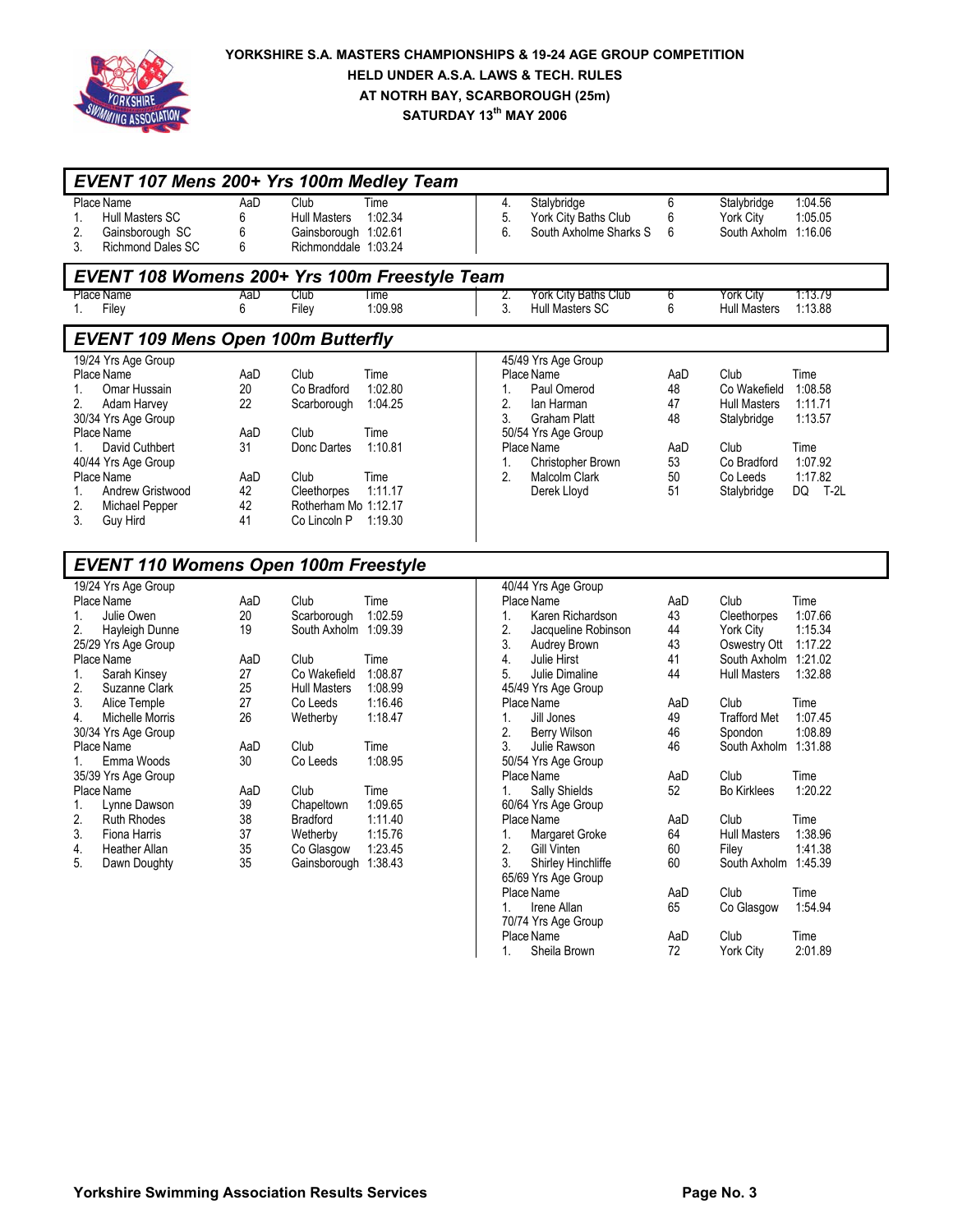

| EVENT 107 Mens 200+ Yrs 100m Medley Team      |     |                      |         |    |                        |     |                      |         |
|-----------------------------------------------|-----|----------------------|---------|----|------------------------|-----|----------------------|---------|
| Place Name                                    | AaD | Club                 | Time    | 4. | Stalybridge            | 6   | Stalybridge          | 1:04.56 |
| Hull Masters SC<br>1.                         | 6   | <b>Hull Masters</b>  | 1:02.34 | 5. | York City Baths Club   | 6   | York City            | 1:05.05 |
| 2.<br>Gainsborough SC                         | 6   | Gainsborough 1:02.61 |         | 6. | South Axholme Sharks S | 6   | South Axholm 1:16.06 |         |
| <b>Richmond Dales SC</b><br>3.                | 6   | Richmonddale 1:03.24 |         |    |                        |     |                      |         |
| EVENT 108 Womens 200+ Yrs 100m Freestyle Team |     |                      |         |    |                        |     |                      |         |
| Place Name                                    | AaD | Club                 | Time    | 2. | York City Baths Club   | 6   | York City            | 1:13.79 |
| Filey<br>1.                                   | 6   | Filey                | 1:09.98 | 3. | <b>Hull Masters SC</b> | 6   | <b>Hull Masters</b>  | 1:13.88 |
| <b>EVENT 109 Mens Open 100m Butterfly</b>     |     |                      |         |    |                        |     |                      |         |
| 19/24 Yrs Age Group                           |     |                      |         |    | 45/49 Yrs Age Group    |     |                      |         |
| Place Name                                    | AaD | Club                 | Time    |    | Place Name             | AaD | Club                 | Time    |
| Omar Hussain<br>1.                            | 20  | Co Bradford          | 1:02.80 | 1. | Paul Omerod            | 48  | Co Wakefield         | 1:08.58 |
| 2.<br>Adam Harvey                             | 22  | Scarborough          | 1:04.25 | 2. | lan Harman             | 47  | <b>Hull Masters</b>  | 1:11.71 |
| 30/34 Yrs Age Group                           |     |                      |         | 3. | Graham Platt           | 48  | Stalybridge          | 1:13.57 |
| Place Name                                    | AaD | Club                 | Time    |    | 50/54 Yrs Age Group    |     |                      |         |
| David Cuthbert<br>1.                          | 31  | Donc Dartes          | 1:10.81 |    | Place Name             | AaD | Club                 | Time    |
| 40/44 Yrs Age Group                           |     |                      |         | 1. | Christopher Brown      | 53  | Co Bradford          | 1:07.92 |
| Place Name                                    | AaD | Club                 | Time    | 2. | Malcolm Clark          | 50  | Co Leeds             | 1:17.82 |
| 1.<br>Andrew Gristwood                        | 42  | Cleethorpes          | 1:11.17 |    | Derek Lloyd            | 51  | Stalybridge          | DQ T-2L |
| 2.<br>Michael Pepper                          | 42  | Rotherham Mo 1:12.17 |         |    |                        |     |                      |         |
| 3.<br>Guy Hird                                | 41  | Co Lincoln P         | 1:19.30 |    |                        |     |                      |         |
|                                               |     |                      |         |    |                        |     |                      |         |
| <b>EVENT 110 Womens Open 100m Freestyle</b>   |     |                      |         |    |                        |     |                      |         |
| 19/24 Yrs Age Group                           |     |                      |         |    | 40/44 Yrs Age Group    |     |                      |         |
| Place Name                                    | AaD | Club                 | Time    |    | Place Name             | AaD | Club                 | Time    |
| Julie Owen<br>1.                              | 20  | Scarborough          | 1:02.59 | 1. | Karen Richardson       | 43  | Cleethorpes          | 1:07.66 |
| 2.<br>Hayleigh Dunne                          | 19  | South Axholm 1:09.39 |         | 2. | Jacqueline Robinson    | 44  | York City            | 1:15.34 |
| 25/29 Yrs Age Group                           |     |                      |         | 3. | Audrey Brown           | 43  | Oswestry Ott 1:17.22 |         |
| Place Name                                    | AaD | Club                 | Time    | 4. | Julie Hirst            | 41  | South Axholm 1:21.02 |         |
| 1.<br>Sarah Kinsey                            | 27  | Co Wakefield         | 1:08.87 | 5. | Julie Dimaline         | 44  | <b>Hull Masters</b>  | 1:32.88 |
| 2.<br>Suzanne Clark                           | 25  | <b>Hull Masters</b>  | 1:08.99 |    | 45/49 Yrs Age Group    |     |                      |         |
| 3.<br>Alice Temple                            | 27  | Co Leeds             | 1:16.46 |    | Place Name             | AaD | Club                 | Time    |
| Michelle Morris<br>4.                         | 26  | Wetherby             | 1:18.47 | 1. | Jill Jones             | 49  | <b>Trafford Met</b>  | 1:07.45 |
| 30/34 Yrs Age Group                           |     |                      |         | 2. | <b>Berry Wilson</b>    | 46  | Spondon              | 1:08.89 |
| Place Name                                    | AaD | Club                 | Time    | 3. | Julie Rawson           | 46  | South Axholm 1:31.88 |         |
| 1.<br>Emma Woods                              | 30  | Co Leeds             | 1:08.95 |    | 50/54 Yrs Age Group    |     |                      |         |
| 35/39 Yrs Age Group                           |     |                      |         |    | Place Name             | AaD | Club                 | Time    |
| Place Name                                    | AaD | Club                 | Time    | 1. | Sally Shields          | 52  | <b>Bo Kirklees</b>   | 1:20.22 |
| Lynne Dawson<br>1.                            | 39  | Chapeltown           | 1:09.65 |    | 60/64 Yrs Age Group    |     |                      |         |
| 2.<br><b>Ruth Rhodes</b>                      | 38  | <b>Bradford</b>      | 1:11.40 |    | Place Name             | AaD | Club                 | Time    |
| 3.<br>Fiona Harris                            | 37  | Wetherby             | 1:15.76 | 1. | Margaret Groke         | 64  | <b>Hull Masters</b>  | 1:38.96 |
| 4.<br>Heather Allan                           | 35  | Co Glasgow           | 1:23.45 | 2. | <b>Gill Vinten</b>     | 60  | Filey                | 1:41.38 |
| 5.<br>Dawn Doughty                            | 35  | Gainsborough 1:38.43 |         | 3. | Shirley Hinchliffe     | 60  | South Axholm 1:45.39 |         |
|                                               |     |                      |         |    | 65/69 Yrs Age Group    |     |                      |         |
|                                               |     |                      |         |    | Place Name             | AaD | Club                 | Time    |
|                                               |     |                      |         | 1. | Irene Allan            | 65  | Co Glasgow           | 1:54.94 |
|                                               |     |                      |         |    | 70/74 Yrs Age Group    |     |                      |         |
|                                               |     |                      |         |    | Place Name             | AaD | Club                 | Time    |

 $\mathbf{I}$ 

1. Sheila Brown 72 York City 2:01.89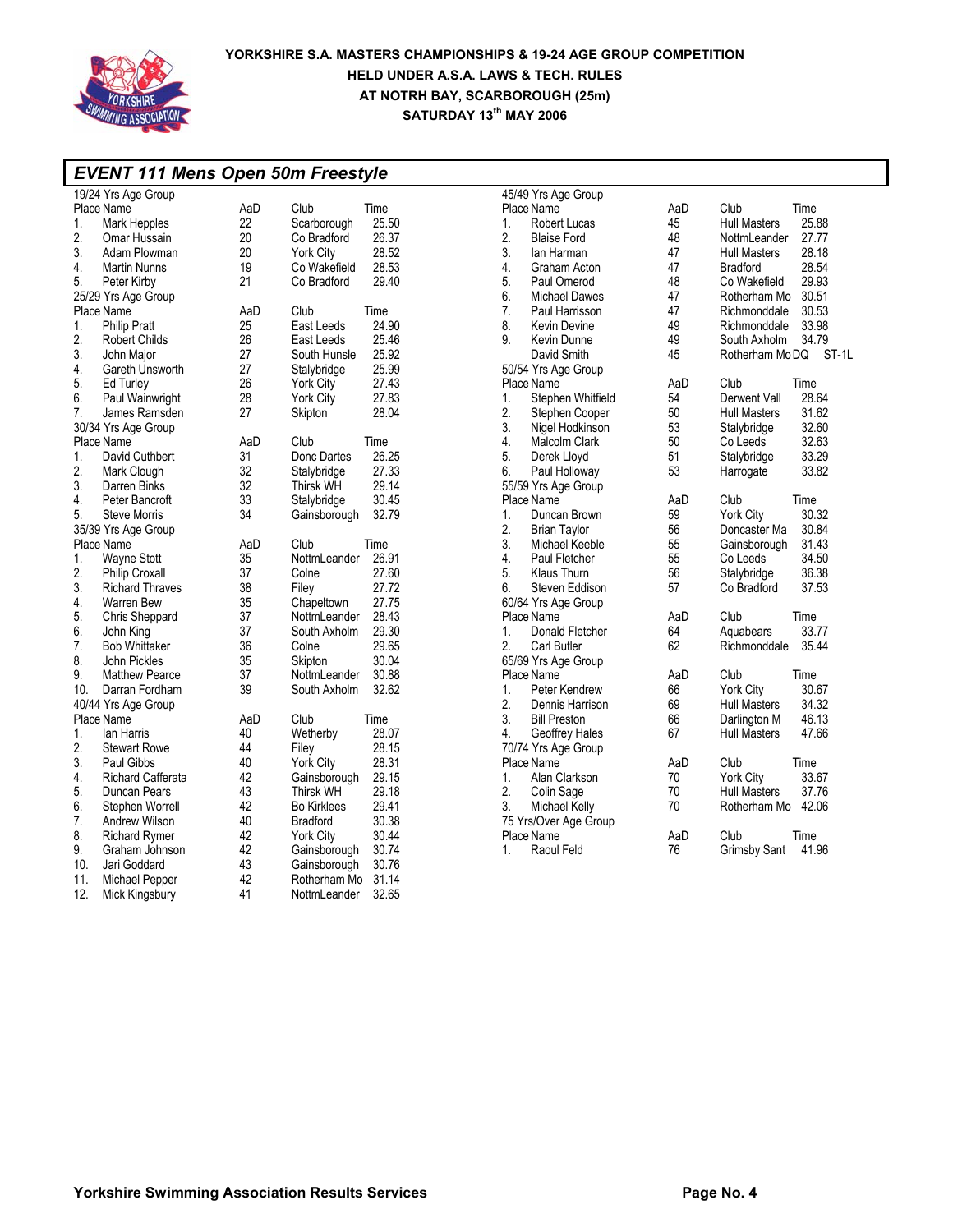

|                  | <b>EVENT 111 Mens Open 50m Freestyle</b> |     |                             |                           |     |                              |  |  |
|------------------|------------------------------------------|-----|-----------------------------|---------------------------|-----|------------------------------|--|--|
|                  | 19/24 Yrs Age Group                      |     |                             | 45/49 Yrs Age Group       |     |                              |  |  |
|                  | Place Name                               | AaD | Club<br>Time                | Place Name                | AaD | Club<br>Time                 |  |  |
| 1.               | Mark Hepples                             | 22  | 25.50<br>Scarborough        | 1.<br><b>Robert Lucas</b> | 45  | 25.88<br><b>Hull Masters</b> |  |  |
| 2.               | Omar Hussain                             | 20  | 26.37<br>Co Bradford        | 2.<br><b>Blaise Ford</b>  | 48  | NottmLeander<br>27.77        |  |  |
| 3.               | Adam Plowman                             | 20  | 28.52<br><b>York City</b>   | 3.<br>lan Harman          | 47  | 28.18<br><b>Hull Masters</b> |  |  |
| 4.               | Martin Nunns                             | 19  | 28.53<br>Co Wakefield       | 4.<br>Graham Acton        | 47  | 28.54<br><b>Bradford</b>     |  |  |
| 5.               | Peter Kirby                              | 21  | 29.40<br>Co Bradford        | 5.<br>Paul Omerod         | 48  | 29.93<br>Co Wakefield        |  |  |
|                  | 25/29 Yrs Age Group                      |     |                             | 6.<br>Michael Dawes       | 47  | 30.51<br>Rotherham Mo        |  |  |
|                  | Place Name                               | AaD | Club<br>Time                | 7.<br>Paul Harrisson      | 47  | 30.53<br>Richmonddale        |  |  |
| 1.               | <b>Philip Pratt</b>                      | 25  | 24.90<br>East Leeds         | 8.<br><b>Kevin Devine</b> | 49  | 33.98<br>Richmonddale        |  |  |
| 2.               | <b>Robert Childs</b>                     | 26  | 25.46<br>East Leeds         | 9.<br>Kevin Dunne         | 49  | 34.79<br>South Axholm        |  |  |
| 3.               | John Maior                               | 27  | 25.92<br>South Hunsle       | David Smith               | 45  | Rotherham MoDQ ST-1L         |  |  |
|                  |                                          |     |                             |                           |     |                              |  |  |
| 4.               | Gareth Unsworth                          | 27  | 25.99<br>Stalybridge        | 50/54 Yrs Age Group       |     |                              |  |  |
| 5.               | Ed Turley                                | 26  | 27.43<br><b>York City</b>   | Place Name                | AaD | Club<br>Time                 |  |  |
| 6.               | Paul Wainwright                          | 28  | York City<br>27.83          | Stephen Whitfield<br>1.   | 54  | 28.64<br>Derwent Vall        |  |  |
| 7.               | James Ramsden                            | 27  | 28.04<br>Skipton            | 2.<br>Stephen Cooper      | 50  | <b>Hull Masters</b><br>31.62 |  |  |
|                  | 30/34 Yrs Age Group                      |     |                             | 3.<br>Nigel Hodkinson     | 53  | 32.60<br>Stalybridge         |  |  |
|                  | Place Name                               | AaD | Club<br>Time                | 4.<br>Malcolm Clark       | 50  | Co Leeds<br>32.63            |  |  |
| 1.               | David Cuthbert                           | 31  | 26.25<br>Donc Dartes        | 5.<br>Derek Lloyd         | 51  | 33.29<br>Stalybridge         |  |  |
| 2.               | Mark Clough                              | 32  | 27.33<br>Stalybridge        | 6.<br>Paul Holloway       | 53  | 33.82<br>Harrogate           |  |  |
| 3.               | Darren Binks                             | 32  | 29.14<br>Thirsk WH          | 55/59 Yrs Age Group       |     |                              |  |  |
| 4.               | Peter Bancroft                           | 33  | 30.45<br>Stalybridge        | Place Name                | AaD | Club<br>Time                 |  |  |
| 5.               | <b>Steve Morris</b>                      | 34  | 32.79<br>Gainsborough       | 1.<br>Duncan Brown        | 59  | 30.32<br>York City           |  |  |
|                  | 35/39 Yrs Age Group                      |     |                             | 2.<br><b>Brian Taylor</b> | 56  | 30.84<br>Doncaster Ma        |  |  |
|                  | Place Name                               | AaD | Club<br>Time                | 3.<br>Michael Keeble      | 55  | 31.43<br>Gainsborough        |  |  |
| 1.               | Wayne Stott                              | 35  | NottmLeander<br>26.91       | 4.<br>Paul Fletcher       | 55  | 34.50<br>Co Leeds            |  |  |
| 2.               | Philip Croxall                           | 37  | Colne<br>27.60              | 5.<br>Klaus Thurn         | 56  | 36.38<br>Stalybridge         |  |  |
| 3.               | <b>Richard Thraves</b>                   | 38  | 27.72<br>Filey              | 6.<br>Steven Eddison      | 57  | 37.53<br>Co Bradford         |  |  |
| 4.               | Warren Bew                               | 35  | 27.75<br>Chapeltown         | 60/64 Yrs Age Group       |     |                              |  |  |
| 5.               | Chris Sheppard                           | 37  | 28.43<br>NottmLeander       | Place Name                | AaD | Club<br>Time                 |  |  |
| 6.               | John King                                | 37  | 29.30<br>South Axholm       | 1.<br>Donald Fletcher     | 64  | 33.77<br>Aquabears           |  |  |
| $\overline{7}$ . | <b>Bob Whittaker</b>                     | 36  | 29.65<br>Colne              | 2.<br><b>Carl Butler</b>  | 62  | 35.44<br>Richmonddale        |  |  |
| 8.               | John Pickles                             | 35  | Skipton<br>30.04            | 65/69 Yrs Age Group       |     |                              |  |  |
| 9.               | <b>Matthew Pearce</b>                    | 37  | 30.88<br>NottmLeander       | Place Name                | AaD | Club<br>Time                 |  |  |
| 10.              | Darran Fordham                           | 39  | 32.62<br>South Axholm       | 1.<br>Peter Kendrew       | 66  | York City<br>30.67           |  |  |
|                  | 40/44 Yrs Age Group                      |     |                             | 2.<br>Dennis Harrison     | 69  | 34.32<br><b>Hull Masters</b> |  |  |
|                  | Place Name                               | AaD | Club<br>Time                | 3.<br><b>Bill Preston</b> | 66  | 46.13<br>Darlington M        |  |  |
| 1 <sub>1</sub>   | lan Harris                               |     |                             |                           | 67  | <b>Hull Masters</b><br>47.66 |  |  |
|                  |                                          | 40  | Wetherby<br>28.07           | 4.<br>Geoffrey Hales      |     |                              |  |  |
| 2.               | <b>Stewart Rowe</b>                      | 44  | Filey<br>28.15              | 70/74 Yrs Age Group       |     |                              |  |  |
| 3.               | Paul Gibbs                               | 40  | 28.31<br><b>York City</b>   | Place Name                | AaD | Club<br>Time                 |  |  |
| 4.               | Richard Cafferata                        | 42  | 29.15<br>Gainsborough       | Alan Clarkson<br>1.       | 70  | York City<br>33.67           |  |  |
| 5.               | Duncan Pears                             | 43  | 29.18<br><b>Thirsk WH</b>   | 2.<br>Colin Sage          | 70  | 37.76<br><b>Hull Masters</b> |  |  |
| 6.               | Stephen Worrell                          | 42  | 29.41<br><b>Bo Kirklees</b> | 3.<br>Michael Kelly       | 70  | Rotherham Mo 42.06           |  |  |
| 7.               | Andrew Wilson                            | 40  | 30.38<br><b>Bradford</b>    | 75 Yrs/Over Age Group     |     |                              |  |  |
| 8.               | <b>Richard Rymer</b>                     | 42  | 30.44<br>York City          | Place Name                | AaD | Club<br>Time                 |  |  |
| 9.               | Graham Johnson                           | 42  | 30.74<br>Gainsborough       | 1.<br>Raoul Feld          | 76  | Grimsby Sant<br>41.96        |  |  |
| 10.              | Jari Goddard                             | 43  | 30.76<br>Gainsborough       |                           |     |                              |  |  |
| 11.              | Michael Pepper                           | 42  | 31.14<br>Rotherham Mo       |                           |     |                              |  |  |
| 12.              | Mick Kingsbury                           | 41  | 32.65<br>NottmLeander       |                           |     |                              |  |  |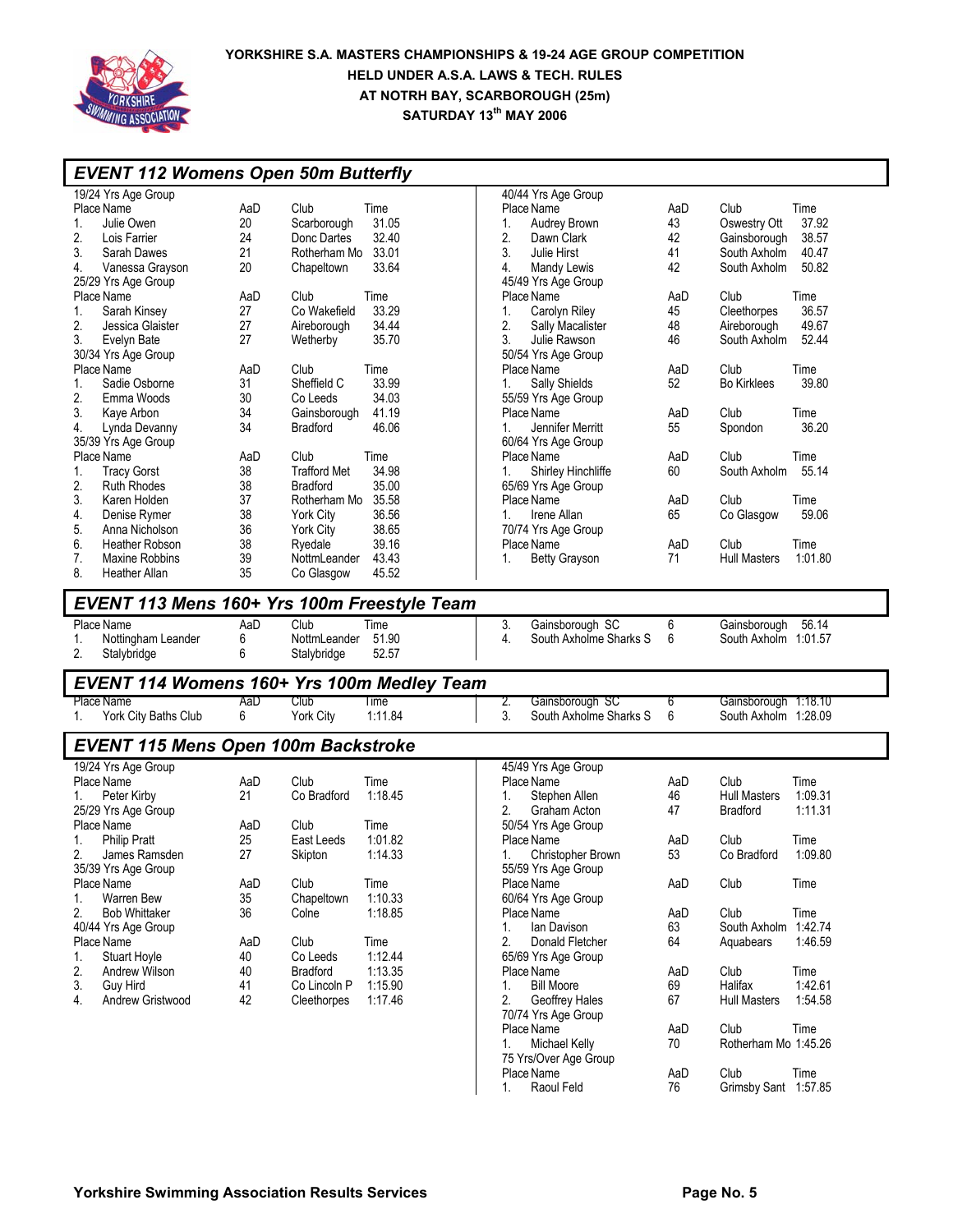

| <b>EVENT 112 Womens Open 50m Butterfly</b>  |     |                     |         |          |                                   |     |                      |         |
|---------------------------------------------|-----|---------------------|---------|----------|-----------------------------------|-----|----------------------|---------|
| 19/24 Yrs Age Group                         |     |                     |         |          | 40/44 Yrs Age Group               |     |                      |         |
| Place Name                                  | AaD | Club                | Time    |          | Place Name                        | AaD | Club                 | Time    |
| 1.<br>Julie Owen                            | 20  | Scarborough         | 31.05   | 1.       | Audrey Brown                      | 43  | Oswestry Ott         | 37.92   |
| 2.<br>Lois Farrier                          | 24  | Donc Dartes         | 32.40   | 2.       | Dawn Clark                        | 42  | Gainsborough         | 38.57   |
| 3.<br>Sarah Dawes                           | 21  | Rotherham Mo        | 33.01   | 3.       | Julie Hirst                       | 41  | South Axholm         | 40.47   |
| Vanessa Grayson<br>4.                       | 20  | Chapeltown          | 33.64   | 4.       | Mandy Lewis                       | 42  | South Axholm         | 50.82   |
| 25/29 Yrs Age Group                         |     |                     |         |          | 45/49 Yrs Age Group               |     |                      |         |
| Place Name                                  | AaD | Club                | Time    |          | Place Name                        | AaD | Club                 | Time    |
| Sarah Kinsey<br>1.                          | 27  | Co Wakefield        | 33.29   | 1.       | Carolyn Riley                     | 45  | Cleethorpes          | 36.57   |
| 2.<br>Jessica Glaister                      | 27  | Aireborough         | 34.44   | 2.       | Sally Macalister                  | 48  | Aireborough          | 49.67   |
| 3.<br>Evelyn Bate                           | 27  | Wetherby            | 35.70   | 3.       | Julie Rawson                      | 46  | South Axholm         | 52.44   |
| 30/34 Yrs Age Group                         |     |                     |         |          | 50/54 Yrs Age Group               |     |                      |         |
| Place Name                                  | AaD | Club                | Time    |          | Place Name                        | AaD | Club                 | Time    |
| Sadie Osborne<br>1.                         | 31  | Sheffield C         | 33.99   | 1.       | Sally Shields                     | 52  | <b>Bo Kirklees</b>   | 39.80   |
| 2.<br>Emma Woods                            | 30  | Co Leeds            | 34.03   |          | 55/59 Yrs Age Group               |     |                      |         |
| 3.<br>Kaye Arbon                            | 34  | Gainsborough        | 41.19   |          | Place Name                        | AaD | Club                 | Time    |
| 4.<br>Lynda Devanny                         | 34  | <b>Bradford</b>     | 46.06   | 1.       | Jennifer Merritt                  | 55  | Spondon              | 36.20   |
| 35/39 Yrs Age Group                         |     |                     |         |          | 60/64 Yrs Age Group               |     |                      |         |
| Place Name                                  | AaD | Club                | Time    |          | Place Name                        | AaD | Club                 | Time    |
| 1.<br><b>Tracy Gorst</b>                    | 38  | <b>Trafford Met</b> | 34.98   | 1.       | Shirley Hinchliffe                | 60  | South Axholm         | 55.14   |
| 2.<br><b>Ruth Rhodes</b>                    | 38  | <b>Bradford</b>     | 35.00   |          | 65/69 Yrs Age Group               |     |                      |         |
| 3.<br>Karen Holden                          | 37  | Rotherham Mo        | 35.58   |          | Place Name                        | AaD | Club                 | Time    |
| 4.<br>Denise Rymer                          | 38  | York City           | 36.56   | 1.       | Irene Allan                       | 65  | Co Glasgow           | 59.06   |
| 5.<br>Anna Nicholson                        | 36  | <b>York City</b>    | 38.65   |          | 70/74 Yrs Age Group               |     |                      |         |
| 6.<br>Heather Robson                        | 38  | Ryedale             | 39.16   |          | Place Name                        | AaD | Club                 | Time    |
| 7.<br>Maxine Robbins                        | 39  | NottmLeander        | 43.43   | 1.       | <b>Betty Grayson</b>              | 71  | <b>Hull Masters</b>  | 1:01.80 |
| 8.<br><b>Heather Allan</b>                  | 35  | Co Glasgow          | 45.52   |          |                                   |     |                      |         |
| EVENT 113 Mens 160+ Yrs 100m Freestyle Team |     |                     |         |          |                                   |     |                      |         |
| Place Name                                  | AaD | Club                | Time    | 3.       | Gainsborough SC                   | 6   | Gainsborough         | 56.14   |
| Nottingham Leander<br>1.                    | 6   | NottmLeander        | 51.90   | 4.       | South Axholme Sharks S            | 6   | South Axholm 1:01.57 |         |
| 2.<br>Stalybridge                           | 6   | Stalybridge         | 52.57   |          |                                   |     |                      |         |
| EVENT 114 Womens 160+ Yrs 100m Medley Team  |     |                     |         |          |                                   |     |                      |         |
| Place Name                                  | AaD | Club                | Time    | 2.       | Gainsborough SC                   | 6   | Gainsborough 1:18.10 |         |
| York City Baths Club<br>1.                  | 6   | York City           | 1:11.84 | 3.       | South Axholme Sharks S            | 6   | South Axholm 1:28.09 |         |
| <b>EVENT 115 Mens Open 100m Backstroke</b>  |     |                     |         |          |                                   |     |                      |         |
|                                             |     |                     |         |          |                                   |     |                      |         |
| 19/24 Yrs Age Group<br>Place Name           | AaD | Club                | Time    |          | 45/49 Yrs Age Group<br>Place Name | AaD | Club                 | Time    |
|                                             | 21  | Co Bradford         | 1:18.45 |          |                                   | 46  | <b>Hull Masters</b>  | 1:09.31 |
| Peter Kirby<br>1.<br>25/29 Yrs Age Group    |     |                     |         | 1.<br>2. | Stephen Allen<br>Graham Acton     | 47  | <b>Bradford</b>      | 1:11.31 |
| Place Name                                  | AaD | Club                | Time    |          | 50/54 Yrs Age Group               |     |                      |         |
| <b>Philip Pratt</b><br>1.                   | 25  | East Leeds          | 1:01.82 |          | Place Name                        | AaD | Club                 | Time    |
| James Ramsden                               | 27  | Skipton             | 1:14.33 | 1.       | <b>Christopher Brown</b>          | 53  | Co Bradford          | 1:09.80 |
| 35/39 Yrs Age Group                         |     |                     |         |          | 55/59 Yrs Age Group               |     |                      |         |
| Place Name                                  | AaD | Club                | Time    |          | Place Name                        | AaD | Club                 | Time    |
| Warren Bew<br>1.                            | 35  | Chapeltown          | 1:10.33 |          | 60/64 Yrs Age Group               |     |                      |         |
| 2.<br><b>Bob Whittaker</b>                  | 36  | Colne               | 1:18.85 |          | Place Name                        | AaD | Club                 | Time    |
| 40/44 Yrs Age Group                         |     |                     |         | 1.       | lan Davison                       | 63  | South Axholm 1:42.74 |         |
| Place Name                                  | AaD | Club                | Time    | 2.       | Donald Fletcher                   | 64  | Aquabears            | 1:46.59 |
| <b>Stuart Hoyle</b><br>1.                   | 40  | Co Leeds            | 1:12.44 |          | 65/69 Yrs Age Group               |     |                      |         |
| 2.<br>Andrew Wilson                         | 40  | <b>Bradford</b>     | 1:13.35 |          | Place Name                        | AaD | Club                 | Time    |
| 3.<br>Guy Hird                              | 41  | Co Lincoln P        | 1:15.90 | 1.       | <b>Bill Moore</b>                 | 69  | Halifax              | 1:42.61 |
| Andrew Gristwood<br>4.                      | 42  | Cleethorpes         | 1:17.46 | 2.       | Geoffrey Hales                    | 67  | <b>Hull Masters</b>  | 1:54.58 |
|                                             |     |                     |         |          | 70/74 Yrs Age Group               |     |                      |         |
|                                             |     |                     |         |          | Place Name                        | AaD | Club                 | Time    |
|                                             |     |                     |         | 1.       | <b>Michael Kelly</b>              | 70  | Rotherham Mo 1:45.26 |         |
|                                             |     |                     |         |          | 75 Yrs/Over Age Group             |     |                      |         |
|                                             |     |                     |         |          | Place Name                        | AaD | Club                 | Time    |
|                                             |     |                     |         | 1.       | Raoul Feld                        | 76  | Grimsby Sant 1:57.85 |         |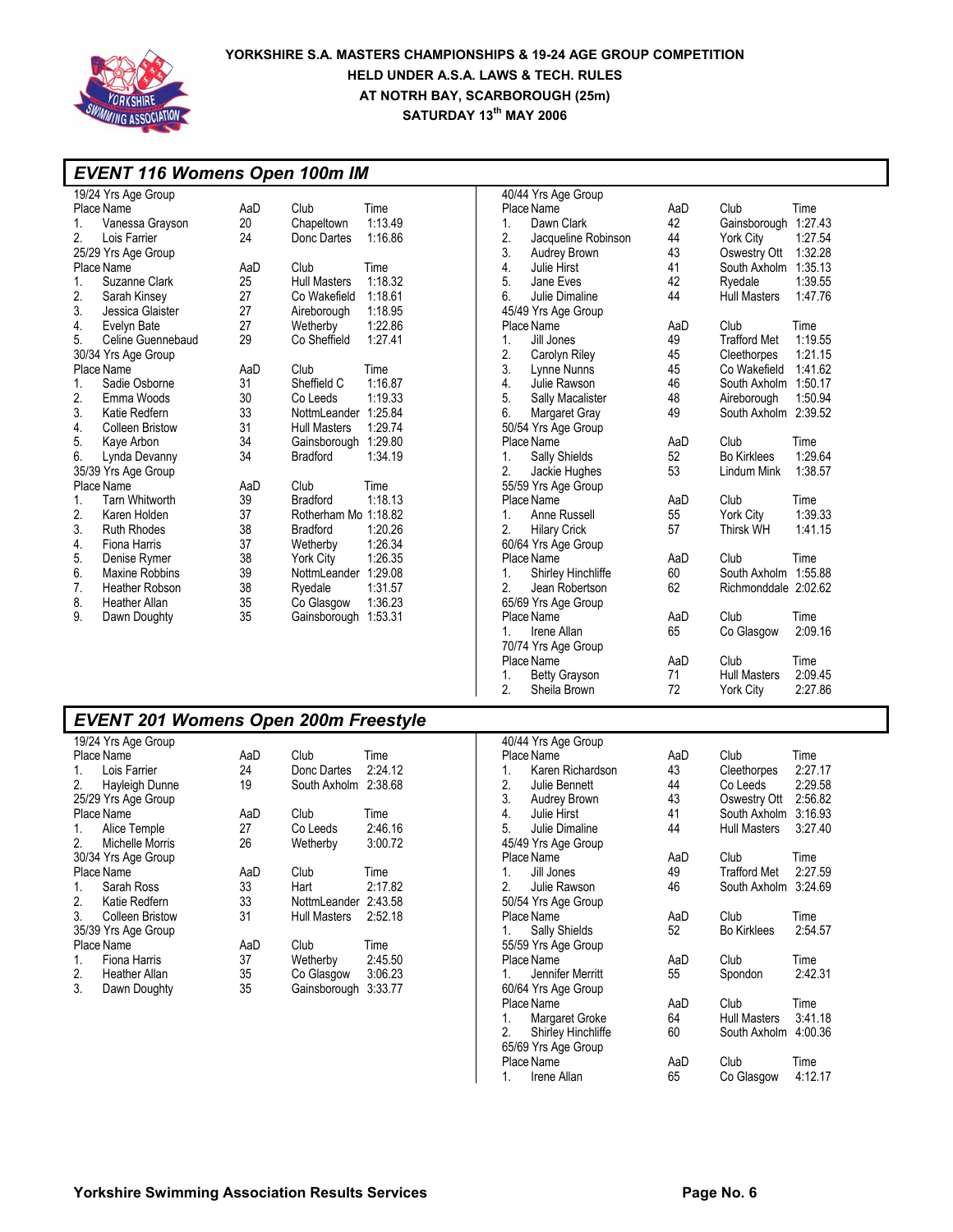

#### *EVENT 116 Womens Open 100m IM*  19/24 Yrs Age Group Place Name **AaD** Club Time 1. Vanessa Grayson 20 Chapeltown 1:13.49 2. Lois Farrier 24 Donc Dartes 25/29 Yrs Age Group Place Name AaD Club Time 1. Suzanne Clark 25 Hull Masters 1:18.32 2. Sarah Kinsey 27 Co Wakefield 1:18.61 3. Jessica Glaister 27 Aireborough 1:18.95 4. Evelyn Bate 27 Wetherby 1:22.86 5. Celine Guennebaud 30/34 Yrs Age Group Place Name  $\begin{array}{ccc} \text{Place Name} & \text{AaD} & \text{Club} & \text{Time} \\ 1. & \text{Sadie Osborne} & 31 & \text{Sheffield C} & 1:16. \end{array}$ 1. Sadie Osborne 31 Sheffield C 1:16.87 Emma Woods 3. Katie Redfern 33 NottmLeander 1:25.84 Hull Masters 1:29.74 5. Kaye Arbon 34 Gainsborough 1:29.80 Lynda Devanny 35/39 Yrs Age Group Place Name **AaD** Club Time 1. Tarn Whitworth 39 Bradford 1:18.13 Rotherham Mo 1:18.82<br>Bradford 1:20.26 3. Ruth Rhodes 38 Bradford 1:20.26 4. Fiona Harris 37 Wetherby 1:26.34 5. Denise Rymer 38 York City 1:26.35 6. Maxine Robbins 39 NottmLeander 1:29.08 Heather Robson 8. Heather Allan 35 Co Glasgow 1:36.23 Gainsborough 1:53.31 40/44 Yrs Age Group Place Name **AaD** Club Time 1. Dawn Clark 42 Gainsborough 1:27.43 Jacqueline Robinson 44 York City 1:27.54 3. Audrey Brown 43 Oswestry Ott 1:32.28 4. Julie Hirst 41 South Axholm 1:35.13 5. Jane Eves 42 Ryedale 1:39.55 6. Julie Dimaline 44 Hull Masters 1:47.76 45/49 Yrs Age Group Place Name **AaD** Club Time<br>1. Jill Jones 49 Trafford Met 1:19.55 1. Jill Jones 49 Trafford Met 2. Carolyn Riley 45 Cleethorpes 2. Carolyn Riley 45 Cleethorpes 1:21.15 3. Lynne Nunns 45 Co Wakefield 1:41.62 4. Julie Rawson 46 South Axholm 1:50.17 48 Aireborough 1:50.94<br>49 South Axholm 2:39.52 6. Margaret Gray 49 South Axholm 2:39.52 50/54 Yrs Age Group Place Name <br>
1. Sally Shields <br>
1. Sally Shields <br>
1.29.64 1. Sally Shields 2. Jackie Hughes 53 Lindum Mink 1:38.57 55/59 Yrs Age Group Place Name  $\begin{array}{ccc} \text{Place Name} & \text{Area} & \text{Area} \\ \text{Area} & \text{Area} & \text{Area} \\ \text{Area} & \text{Area} & \text{Area} \\ \text{Area} & \text{Area} & \text{Area} \\ \text{Area} & \text{Area} & \text{Area} \\ \text{Area} & \text{Area} & \text{Area} \\ \text{Area} & \text{Area} & \text{Area} \\ \text{Area} & \text{Area} & \text{Area} \\ \text{Area} & \text{Area} & \text{Area} \\ \text{Area} & \text{Area} & \text{Area} \\ \text{Area} & \text{Area} & \text{Area} \\ \text{Area$ 1. Anne Russell 55 York City 1:39.33 2. Hilary Crick 60/64 Yrs Age Group Place Name **AaD** Club Time 1. Shirley Hinchliffe 60 South Axholm 1:55.88 2. Jean Robertson 62 Richmonddale 2:02.62 65/69 Yrs Age Group Place Name **AaD** Club Time 1. Irene Allan 65 Co Glasgow 2:09.16 70/74 Yrs Age Group Place Name AaD Club Time 1. Betty Grayson 71 Hull Masters 2:09.45 2. Sheila Brown 72 York City 2:27.86

### *EVENT 201 Womens Open 200m Freestyle*

|                | 19/24 Yrs Age Group |     |                      |         |
|----------------|---------------------|-----|----------------------|---------|
|                | Place Name          | AaD | Club                 | Time    |
| 1.             | Lois Farrier        | 24  | Donc Dartes          | 2:24.12 |
| 2.             | Hayleigh Dunne      | 19  | South Axholm 2:38.68 |         |
|                | 25/29 Yrs Age Group |     |                      |         |
|                | Place Name          | AaD | Club                 | Time    |
| 1.             | Alice Temple        | 27  | Co Leeds             | 2:46.16 |
| 2 <sub>1</sub> | Michelle Morris     | 26  | Wetherby             | 3:00.72 |
|                | 30/34 Yrs Age Group |     |                      |         |
|                | Place Name          | AaD | Club                 | Time    |
| 1.             | Sarah Ross          | 33  | Hart                 | 2:17.82 |
| 2.             | Katie Redfern       | 33  | NottmLeander 2:43.58 |         |
| 3.             | Colleen Bristow     | 31  | Hull Masters         | 2:52.18 |
|                | 35/39 Yrs Age Group |     |                      |         |
|                | Place Name          | AaD | Club                 | Time    |
| 1.             | Fiona Harris        | 37  | Wetherby             | 2:45.50 |
| 2.             | Heather Allan       | 35  | Co Glasgow           | 3:06.23 |
| 3.             | Dawn Doughty        | 35  | Gainsborough         | 3:33.77 |
|                |                     |     |                      |         |

|    | 40/44 Yrs Age Group   |     |                      |         |
|----|-----------------------|-----|----------------------|---------|
|    | Place Name            | AaD | Club                 | Time    |
| 1. | Karen Richardson      | 43  | Cleethorpes          | 2:27.17 |
|    | 2. Julie Bennett      | 44  | Co Leeds 2:29.58     |         |
|    | 3. Audrey Brown       | 43  | Oswestry Ott 2:56.82 |         |
| 4. | Julie Hirst           | 41  | South Axholm 3:16.93 |         |
|    | 5. Julie Dimaline     | 44  | Hull Masters         | 3:27.40 |
|    | 45/49 Yrs Age Group   |     |                      |         |
|    | Place Name            | AaD | Club                 | Time    |
| 1. | Jill Jones            | 49  | Trafford Met 2:27.59 |         |
|    | 2. Julie Rawson       | 46  | South Axholm         | 3:24.69 |
|    | 50/54 Yrs Age Group   |     |                      |         |
|    | Place Name            | AaD | Club                 | Time    |
| 1. | <b>Sally Shields</b>  | 52  | <b>Bo Kirklees</b>   | 2:54.57 |
|    | 55/59 Yrs Age Group   |     |                      |         |
|    | Place Name            | AaD | Club                 | Time    |
|    | 1. Jennifer Merritt   | 55  | Spondon              | 2:42.31 |
|    | 60/64 Yrs Age Group   |     |                      |         |
|    | Place Name            | AaD | Club                 | Time    |
|    | 1. Margaret Groke     | 64  | <b>Hull Masters</b>  | 3:41.18 |
|    | 2. Shirley Hinchliffe | 60  | South Axholm         | 4:00.36 |
|    | 65/69 Yrs Age Group   |     |                      |         |
|    | Place Name            | AaD | Club                 | Time    |
| 1. | Irene Allan           | 65  | Co Glasgow           | 4:12.17 |
|    |                       |     |                      |         |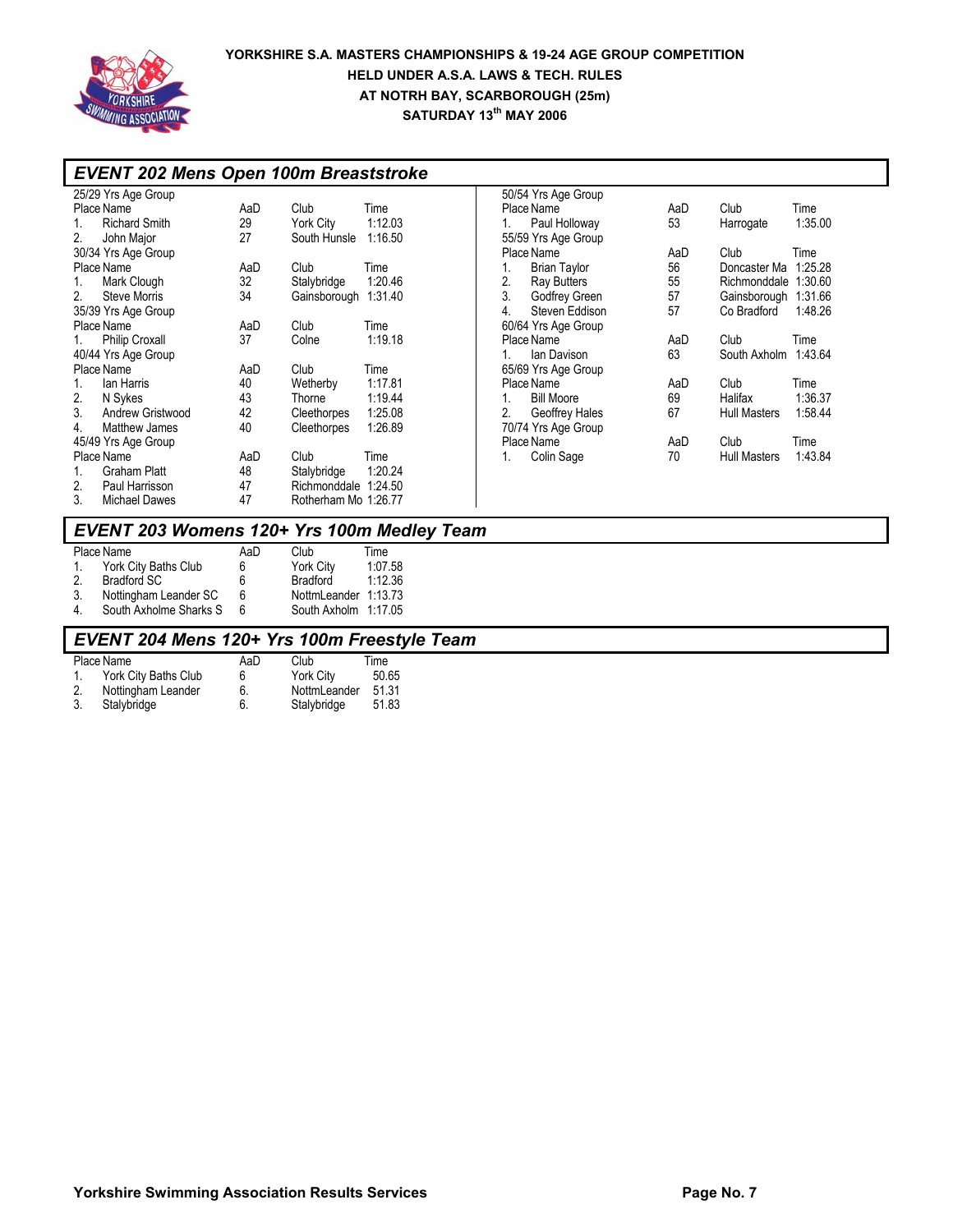

|    | <b>EVENT 202 Mens Open 100m Breaststroke</b> |     |                      |         |    |                     |     |                     |         |
|----|----------------------------------------------|-----|----------------------|---------|----|---------------------|-----|---------------------|---------|
|    | 25/29 Yrs Age Group                          |     |                      |         |    | 50/54 Yrs Age Group |     |                     |         |
|    | Place Name                                   | AaD | Club                 | Time    |    | Place Name          | AaD | Club                | Time    |
|    | <b>Richard Smith</b>                         | 29  | York City            | 1:12.03 |    | Paul Holloway       | 53  | Harrogate           | 1:35.00 |
| 2. | John Major                                   | 27  | South Hunsle         | 1:16.50 |    | 55/59 Yrs Age Group |     |                     |         |
|    | 30/34 Yrs Age Group                          |     |                      |         |    | Place Name          | AaD | Club                | Time    |
|    | Place Name                                   | AaD | Club                 | Time    |    | <b>Brian Taylor</b> | 56  | Doncaster Ma        | 1:25.28 |
|    | Mark Clough                                  | 32  | Stalybridge          | 1:20.46 | 2. | Ray Butters         | 55  | Richmonddale        | 1:30.60 |
| 2. | Steve Morris                                 | 34  | Gainsborough 1:31.40 |         | 3. | Godfrey Green       | 57  | Gainsborough        | 1:31.66 |
|    | 35/39 Yrs Age Group                          |     |                      |         | 4. | Steven Eddison      | 57  | Co Bradford         | 1:48.26 |
|    | Place Name                                   | AaD | Club                 | Time    |    | 60/64 Yrs Age Group |     |                     |         |
|    | <b>Philip Croxall</b>                        | 37  | Colne                | 1:19.18 |    | Place Name          | AaD | Club                | Time    |
|    | 40/44 Yrs Age Group                          |     |                      |         |    | lan Davison         | 63  | South Axholm        | 1:43.64 |
|    | Place Name                                   | AaD | Club                 | Time    |    | 65/69 Yrs Age Group |     |                     |         |
|    | lan Harris                                   | 40  | Wetherby             | 1:17.81 |    | Place Name          | AaD | Club                | Time    |
| 2. | N Svkes                                      | 43  | Thorne               | 1:19.44 |    | <b>Bill Moore</b>   | 69  | Halifax             | 1:36.37 |
| 3. | Andrew Gristwood                             | 42  | Cleethorpes          | 1:25.08 | 2. | Geoffrey Hales      | 67  | <b>Hull Masters</b> | 1:58.44 |
| 4. | Matthew James                                | 40  | Cleethorpes          | 1:26.89 |    | 70/74 Yrs Age Group |     |                     |         |
|    | 45/49 Yrs Age Group                          |     |                      |         |    | Place Name          | AaD | Club                | Time    |
|    | Place Name                                   | AaD | Club                 | Time    |    | Colin Sage          | 70  | <b>Hull Masters</b> | 1:43.84 |
| 1. | Graham Platt                                 | 48  | Stalybridge          | 1:20.24 |    |                     |     |                     |         |
| 2. | Paul Harrisson                               | 47  | Richmonddale 1:24.50 |         |    |                     |     |                     |         |
| 3. | <b>Michael Dawes</b>                         | 47  | Rotherham Mo 1:26.77 |         |    |                     |     |                     |         |

# *EVENT 203 Womens 120+ Yrs 100m Medley Team*

|         | Place Name             | AaD | Club                 | Time    |
|---------|------------------------|-----|----------------------|---------|
| $1_{-}$ | York City Baths Club   | 6   | York City            | 1:07.58 |
| 2.      | Bradford SC            | 6   | Bradford             | 1:12.36 |
| 3.      | Nottingham Leander SC  | 6   | NottmLeander 1:13.73 |         |
| 4.      | South Axholme Sharks S | 6   | South Axholm 1:17.05 |         |

# *EVENT 204 Mens 120+ Yrs 100m Freestyle Team*

| Place Name           | AaD | Club         | Time  |
|----------------------|-----|--------------|-------|
| York City Baths Club | 6   | York City    | 50.65 |
| Nottingham Leander   | 6.  | NottmLeander | 51.31 |
| Stalybridge          | 6.  | Stalybridge  | 51.83 |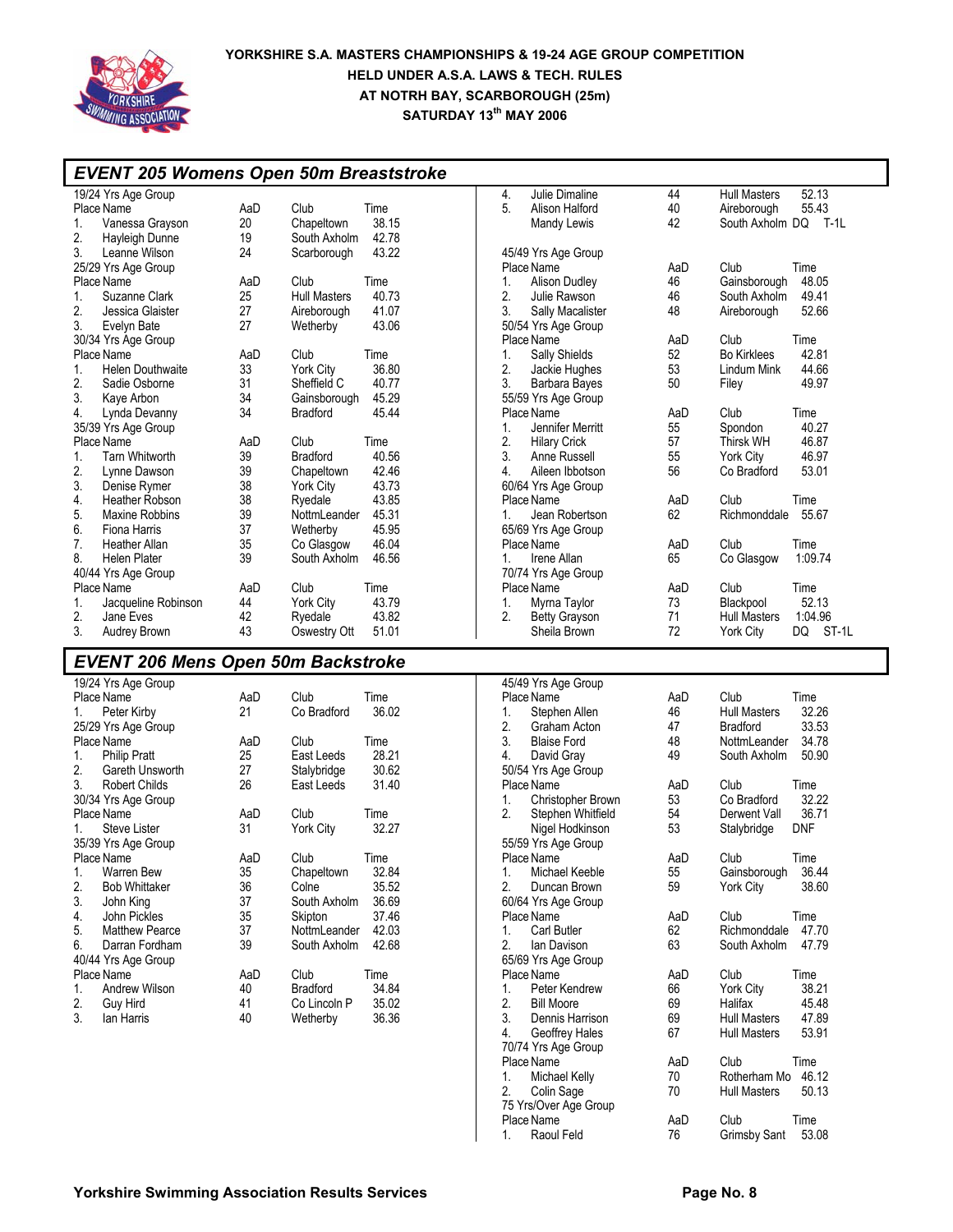

|                                   | <b>EVENT 205 Womens Open 50m Breaststroke</b> |     |                     |                |                  |                      |       |                     |             |
|-----------------------------------|-----------------------------------------------|-----|---------------------|----------------|------------------|----------------------|-------|---------------------|-------------|
|                                   | 19/24 Yrs Age Group                           |     |                     |                | 4.               | Julie Dimaline       | 44    | <b>Hull Masters</b> | 52.13       |
| Place Name<br>AaD<br>Club<br>Time |                                               |     | 5.                  | Alison Halford | 40               | Aireborough          | 55.43 |                     |             |
|                                   | Vanessa Grayson                               | 20  | Chapeltown          | 38.15          |                  | Mandy Lewis          | 42    | South Axholm DQ     | <b>T-1L</b> |
| 2.                                | Hayleigh Dunne                                | 19  | South Axholm        | 42.78          |                  |                      |       |                     |             |
| 3.                                | Leanne Wilson                                 | 24  | Scarborough         | 43.22          |                  | 45/49 Yrs Age Group  |       |                     |             |
|                                   | 25/29 Yrs Age Group                           |     |                     |                |                  | Place Name           | AaD   | Club                | Time        |
|                                   | Place Name                                    | AaD | Club                | Time           | 1.               | Alison Dudley        | 46    | Gainsborough        | 48.05       |
|                                   | Suzanne Clark                                 | 25  | <b>Hull Masters</b> | 40.73          | 2.               | Julie Rawson         | 46    | South Axholm        | 49.41       |
| 2.                                | Jessica Glaister                              | 27  | Aireborough         | 41.07          | 3.               | Sally Macalister     | 48    | Aireborough         | 52.66       |
| 3.                                | Evelyn Bate                                   | 27  | Wetherby            | 43.06          |                  | 50/54 Yrs Age Group  |       |                     |             |
|                                   | 30/34 Yrs Age Group                           |     |                     |                |                  | Place Name           | AaD   | Club                | Time        |
|                                   | Place Name                                    | AaD | Club                | Time           | 1.               | Sally Shields        | 52    | <b>Bo Kirklees</b>  | 42.81       |
| $\mathbf{1}$ .                    | <b>Helen Douthwaite</b>                       | 33  | York City           | 36.80          | 2.               | Jackie Hughes        | 53    | Lindum Mink         | 44.66       |
| 2.                                | Sadie Osborne                                 | 31  | Sheffield C         | 40.77          | 3.               | Barbara Bayes        | 50    | Filey               | 49.97       |
| 3.                                | Kaye Arbon                                    | 34  | Gainsborough        | 45.29          |                  | 55/59 Yrs Age Group  |       |                     |             |
| 4.                                | Lynda Devanny                                 | 34  | <b>Bradford</b>     | 45.44          |                  | Place Name           | AaD   | Club                | Time        |
|                                   | 35/39 Yrs Age Group                           |     |                     |                | 1.               | Jennifer Merritt     | 55    | Spondon             | 40.27       |
|                                   | Place Name                                    | AaD | Club                | Time           | 2.               | <b>Hilary Crick</b>  | 57    | Thirsk WH           | 46.87       |
|                                   | <b>Tarn Whitworth</b>                         | 39  | <b>Bradford</b>     | 40.56          | 3.               | Anne Russell         | 55    | York City           | 46.97       |
| 2.                                | Lynne Dawson                                  | 39  | Chapeltown          | 42.46          | $\overline{4}$ . | Aileen Ibbotson      | 56    | Co Bradford         | 53.01       |
| 3.                                | Denise Rymer                                  | 38  | York City           | 43.73          |                  | 60/64 Yrs Age Group  |       |                     |             |
| 4.                                | <b>Heather Robson</b>                         | 38  | Ryedale             | 43.85          |                  | Place Name           | AaD   | Club                | Time        |
| 5.                                | Maxine Robbins                                | 39  | NottmLeander        | 45.31          |                  | Jean Robertson       | 62    | Richmonddale        | 55.67       |
| 6.                                | Fiona Harris                                  | 37  | Wetherby            | 45.95          |                  | 65/69 Yrs Age Group  |       |                     |             |
| 7.                                | <b>Heather Allan</b>                          | 35  | Co Glasgow          | 46.04          |                  | Place Name           | AaD   | Club                | Time        |
| 8.                                | <b>Helen Plater</b>                           | 39  | South Axholm        | 46.56          |                  | Irene Allan          | 65    | Co Glasgow          | 1:09.74     |
|                                   | 40/44 Yrs Age Group                           |     |                     |                |                  | 70/74 Yrs Age Group  |       |                     |             |
|                                   | Place Name                                    | AaD | Club                | Time           |                  | Place Name           | AaD   | Club                | Time        |
| 1.                                | Jacqueline Robinson                           | 44  | <b>York City</b>    | 43.79          | 1.               | Myrna Taylor         | 73    | Blackpool           | 52.13       |
| 2.                                | Jane Eves                                     | 42  | Ryedale             | 43.82          | 2.               | <b>Betty Grayson</b> | 71    | <b>Hull Masters</b> | 1:04.96     |
| 3.                                | Audrey Brown                                  | 43  | Oswestry Ott        | 51.01          |                  | Sheila Brown         | 72    | York City           | DQ<br>ST-1L |

# *EVENT 206 Mens Open 50m Backstroke*

|                     | 19/24 Yrs Age Group   |     |                 |       |  |  |  |  |  |
|---------------------|-----------------------|-----|-----------------|-------|--|--|--|--|--|
|                     | Place Name            | AaD | Club            | Time  |  |  |  |  |  |
| 1.                  | Peter Kirby           | 21  | Co Bradford     | 36.02 |  |  |  |  |  |
|                     | 25/29 Yrs Age Group   |     |                 |       |  |  |  |  |  |
|                     | Place Name            | AaD | Club            | Time  |  |  |  |  |  |
| 1.                  | <b>Philip Pratt</b>   | 25  | East Leeds      | 28.21 |  |  |  |  |  |
| 2.                  | Gareth Unsworth       | 27  | Stalybridge     | 30.62 |  |  |  |  |  |
|                     | 3. Robert Childs      | 26  | East Leeds      | 31.40 |  |  |  |  |  |
|                     | 30/34 Yrs Age Group   |     |                 |       |  |  |  |  |  |
|                     | Place Name            | AaD | Club            | Time  |  |  |  |  |  |
| 1                   | Steve Lister          | 31  | York City       | 32.27 |  |  |  |  |  |
| 35/39 Yrs Age Group |                       |     |                 |       |  |  |  |  |  |
|                     | Place Name            | AaD | Club            | Time  |  |  |  |  |  |
| 1.                  | <b>Warren Bew</b>     | 35  | Chapeltown      | 32.84 |  |  |  |  |  |
| 2.                  | <b>Bob Whittaker</b>  | 36  | Colne           | 35.52 |  |  |  |  |  |
| 3.                  | John King             | 37  | South Axholm    | 36.69 |  |  |  |  |  |
| 4.                  | John Pickles          | 35  | Skipton         | 37.46 |  |  |  |  |  |
| 5.                  | <b>Matthew Pearce</b> | 37  | NottmLeander    | 42.03 |  |  |  |  |  |
| 6.                  | Darran Fordham        | 39  | South Axholm    | 42.68 |  |  |  |  |  |
|                     | 40/44 Yrs Age Group   |     |                 |       |  |  |  |  |  |
|                     | Place Name            | AaD | Club            | Time  |  |  |  |  |  |
| 1.                  | Andrew Wilson         | 40  | <b>Bradford</b> | 34.84 |  |  |  |  |  |
| 2.                  | Guy Hird              | 41  | Co Lincoln P    | 35.02 |  |  |  |  |  |
| 3.                  | lan Harris            | 40  | Wetherby        | 36.36 |  |  |  |  |  |
|                     |                       |     |                 |       |  |  |  |  |  |

| AaD | Club<br>Time                 |
|-----|------------------------------|
| 46  | 32.26<br><b>Hull Masters</b> |
| 47  | <b>Bradford</b><br>33.53     |
| 48  | 34.78<br>NottmLeander        |
| 49  | South Axholm<br>50.90        |
|     |                              |
| AaD | Club<br>Time                 |
| 53  | 32.22<br>Co Bradford         |
|     | 36.71<br>Derwent Vall        |
|     | <b>DNF</b><br>Stalybridge    |
|     |                              |
| AaD | Club<br>Time                 |
| 55  | 36.44<br>Gainsborough        |
| 59  | 38.60<br>York City           |
|     |                              |
| AaD | Club<br>Time                 |
| 62  | Richmonddale<br>47.70        |
| 63  | South Axholm<br>47.79        |
|     |                              |
| AaD | Club<br>Time                 |
| 66  | 38.21<br>York City           |
| 69  | Halifax<br>45.48             |
| 69  | <b>Hull Masters</b><br>47.89 |
| 67  | <b>Hull Masters</b><br>53.91 |
|     |                              |
| AaD | Club<br>Time                 |
| 70  | 46.12<br>Rotherham Mo        |
| 70  | 50.13<br><b>Hull Masters</b> |
|     |                              |
| AaD | Club<br>Time                 |
| 76  | 53.08<br><b>Grimsby Sant</b> |
|     | 54<br>53                     |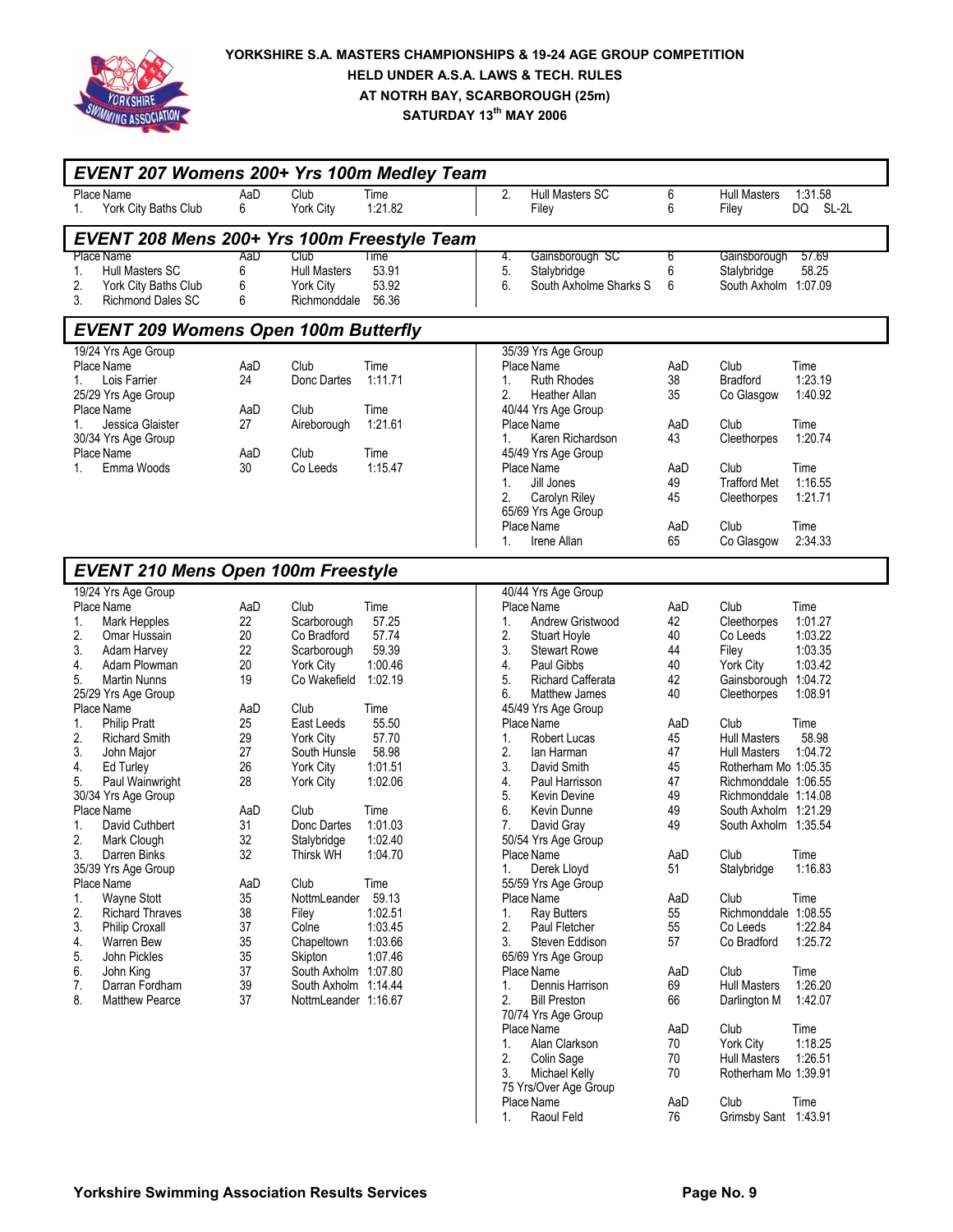

| EVENT 207 Womens 200+ Yrs 100m Medley Team  |     |                      |         |                  |                        |     |                      |             |
|---------------------------------------------|-----|----------------------|---------|------------------|------------------------|-----|----------------------|-------------|
| Place Name                                  | AaD | Club                 | Time    | $\overline{2}$ . | <b>Hull Masters SC</b> | 6   | <b>Hull Masters</b>  | 1:31.58     |
| York City Baths Club<br>1.                  | 6   | York City            | 1:21.82 |                  | Filey                  | 6   | Filey                | SL-2L<br>DQ |
| EVENT 208 Mens 200+ Yrs 100m Freestyle Team |     |                      |         |                  |                        |     |                      |             |
| Place Name                                  | AaD | Club                 | Time    | 4.               | Gainsborough SC        | 6   | Gainsborough         | 57.69       |
| <b>Hull Masters SC</b><br>1.                | 6   | <b>Hull Masters</b>  | 53.91   | 5.               | Stalybridge            | 6   | Stalybridge          | 58.25       |
| 2.<br>York City Baths Club                  | 6   | York City            | 53.92   | 6.               | South Axholme Sharks S | 6   | South Axholm 1:07.09 |             |
| 3.<br><b>Richmond Dales SC</b>              | 6   | Richmonddale         | 56.36   |                  |                        |     |                      |             |
| <b>EVENT 209 Womens Open 100m Butterfly</b> |     |                      |         |                  |                        |     |                      |             |
| 19/24 Yrs Age Group                         |     |                      |         |                  | 35/39 Yrs Age Group    |     |                      |             |
| Place Name                                  | AaD | Club                 | Time    |                  | Place Name             | AaD | Club                 | Time        |
| Lois Farrier<br>1.                          | 24  | Donc Dartes          | 1:11.71 | 1.               | <b>Ruth Rhodes</b>     | 38  | <b>Bradford</b>      | 1:23.19     |
| 25/29 Yrs Age Group                         |     |                      |         | 2.               | <b>Heather Allan</b>   | 35  | Co Glasgow           | 1:40.92     |
| Place Name                                  | AaD | Club                 | Time    |                  | 40/44 Yrs Age Group    |     |                      |             |
| Jessica Glaister<br>1.                      | 27  | Aireborough          | 1:21.61 |                  | Place Name             | AaD | Club                 | Time        |
| 30/34 Yrs Age Group                         |     |                      |         | 1.               | Karen Richardson       | 43  | Cleethorpes          | 1:20.74     |
| Place Name                                  | AaD | Club                 | Time    |                  | 45/49 Yrs Age Group    |     |                      |             |
| Emma Woods                                  | 30  | Co Leeds             | 1:15.47 |                  | Place Name             | AaD | Club                 | Time        |
| 1.                                          |     |                      |         |                  |                        |     |                      |             |
|                                             |     |                      |         | 1.               | Jill Jones             | 49  | <b>Trafford Met</b>  | 1:16.55     |
|                                             |     |                      |         | 2.               | Carolyn Riley          | 45  | Cleethorpes          | 1:21.71     |
|                                             |     |                      |         |                  | 65/69 Yrs Age Group    |     |                      |             |
|                                             |     |                      |         |                  | Place Name             | AaD | Club                 | Time        |
|                                             |     |                      |         | 1.               | Irene Allan            | 65  | Co Glasgow           | 2:34.33     |
| <b>EVENT 210 Mens Open 100m Freestyle</b>   |     |                      |         |                  |                        |     |                      |             |
| 19/24 Yrs Age Group                         |     |                      |         |                  | 40/44 Yrs Age Group    |     |                      |             |
| Place Name                                  | AaD | Club                 | Time    |                  | Place Name             | AaD | Club                 | Time        |
|                                             |     |                      |         |                  |                        |     |                      |             |
| Mark Hepples<br>1.                          | 22  | Scarborough          | 57.25   | 1.               | Andrew Gristwood       | 42  | Cleethorpes          | 1:01.27     |
| 2.<br>Omar Hussain                          | 20  | Co Bradford          | 57.74   | 2.               | Stuart Hoyle           | 40  | Co Leeds             | 1:03.22     |
| 3.<br>Adam Harvey                           | 22  | Scarborough          | 59.39   | 3.               | <b>Stewart Rowe</b>    | 44  | Filey                | 1:03.35     |
| Adam Plowman<br>4.                          | 20  | York City            | 1:00.46 | 4.               | Paul Gibbs             | 40  | York City            | 1:03.42     |
| 5.<br><b>Martin Nunns</b>                   | 19  | Co Wakefield         | 1:02.19 | 5.               | Richard Cafferata      | 42  | Gainsborough 1:04.72 |             |
| 25/29 Yrs Age Group                         |     |                      |         | 6.               | Matthew James          | 40  | Cleethorpes          | 1:08.91     |
| Place Name                                  | AaD | Club                 | Time    |                  | 45/49 Yrs Age Group    |     |                      |             |
| <b>Philip Pratt</b><br>1.                   | 25  | East Leeds           | 55.50   |                  | Place Name             | AaD | Club                 | Time        |
|                                             |     |                      |         |                  |                        |     |                      |             |
| 2.<br><b>Richard Smith</b>                  | 29  | York City            | 57.70   | 1.               | <b>Robert Lucas</b>    | 45  | <b>Hull Masters</b>  | 58.98       |
| 3.<br>John Major                            | 27  | South Hunsle         | 58.98   | 2.               | lan Harman             | 47  | <b>Hull Masters</b>  | 1:04.72     |
| 4.<br>Ed Turley                             | 26  | <b>York City</b>     | 1:01.51 | 3.               | David Smith            | 45  | Rotherham Mo 1:05.35 |             |
| 5.<br>Paul Wainwright                       | 28  | <b>York City</b>     | 1:02.06 | 4.               | Paul Harrisson         | 47  | Richmonddale 1:06.55 |             |
| 30/34 Yrs Age Group                         |     |                      |         | 5.               | <b>Kevin Devine</b>    | 49  | Richmonddale 1:14.08 |             |
| Place Name                                  | AaD | Club                 | Time    | 6.               | Kevin Dunne            | 49  | South Axholm 1:21.29 |             |
| David Cuthbert<br>1.                        | 31  | Donc Dartes          | 1:01.03 | 7.               | David Gray             | 49  | South Axholm 1:35.54 |             |
| 2.<br>Mark Clough                           | 32  | Stalybridge          | 1:02.40 |                  | 50/54 Yrs Age Group    |     |                      |             |
|                                             |     |                      |         |                  |                        |     |                      |             |
| 3.<br>Darren Binks                          | 32  | <b>Inirsk WH</b>     | 1:04.70 |                  | Place Name             | AaD | Club                 | Time        |
| 35/39 Yrs Age Group                         |     |                      |         | 1.               | Derek Lloyd            | 51  | Stalybridge          | 1:16.83     |
| Place Name                                  | AaD | Club                 | Time    |                  | 55/59 Yrs Age Group    |     |                      |             |
| <b>Wayne Stott</b><br>1.                    | 35  | NottmLeander         | 59.13   |                  | Place Name             | AaD | Club                 | Time        |
| 2.<br><b>Richard Thraves</b>                | 38  | Filey                | 1:02.51 | 1.               | <b>Ray Butters</b>     | 55  | Richmonddale 1:08.55 |             |
| 3.<br><b>Philip Croxall</b>                 | 37  | Colne                | 1:03.45 | 2.               | Paul Fletcher          | 55  | Co Leeds             | 1:22.84     |
| Warren Bew<br>4.                            | 35  | Chapeltown           | 1:03.66 | 3.               | Steven Eddison         | 57  | Co Bradford          | 1:25.72     |
| John Pickles<br>5.                          | 35  | Skipton              | 1:07.46 |                  | 65/69 Yrs Age Group    |     |                      |             |
|                                             |     |                      |         |                  |                        |     |                      |             |
| 6.<br>John King                             | 37  | South Axholm 1:07.80 |         |                  | Place Name             | AaD | Club                 | Time        |
| 7.<br>Darran Fordham                        | 39  | South Axholm 1:14.44 |         | 1.               | Dennis Harrison        | 69  | <b>Hull Masters</b>  | 1:26.20     |
| 8.<br><b>Matthew Pearce</b>                 | 37  | NottmLeander 1:16.67 |         | 2.               | <b>Bill Preston</b>    | 66  | Darlington M         | 1:42.07     |
|                                             |     |                      |         |                  | 70/74 Yrs Age Group    |     |                      |             |
|                                             |     |                      |         |                  | Place Name             | AaD | Club                 | Time        |
|                                             |     |                      |         | $\mathbf{1}$ .   | Alan Clarkson          | 70  | York City            | 1:18.25     |
|                                             |     |                      |         | 2.               | Colin Sage             | 70  | <b>Hull Masters</b>  | 1:26.51     |
|                                             |     |                      |         | 3.               | <b>Michael Kelly</b>   | 70  | Rotherham Mo 1:39.91 |             |
|                                             |     |                      |         |                  |                        |     |                      |             |
|                                             |     |                      |         |                  | 75 Yrs/Over Age Group  |     |                      |             |

Place Name **AaD** Club Time Place Name **1. AaD** Club Time<br>1. Raoul Feld 76 Grimsby Sant 1:43.91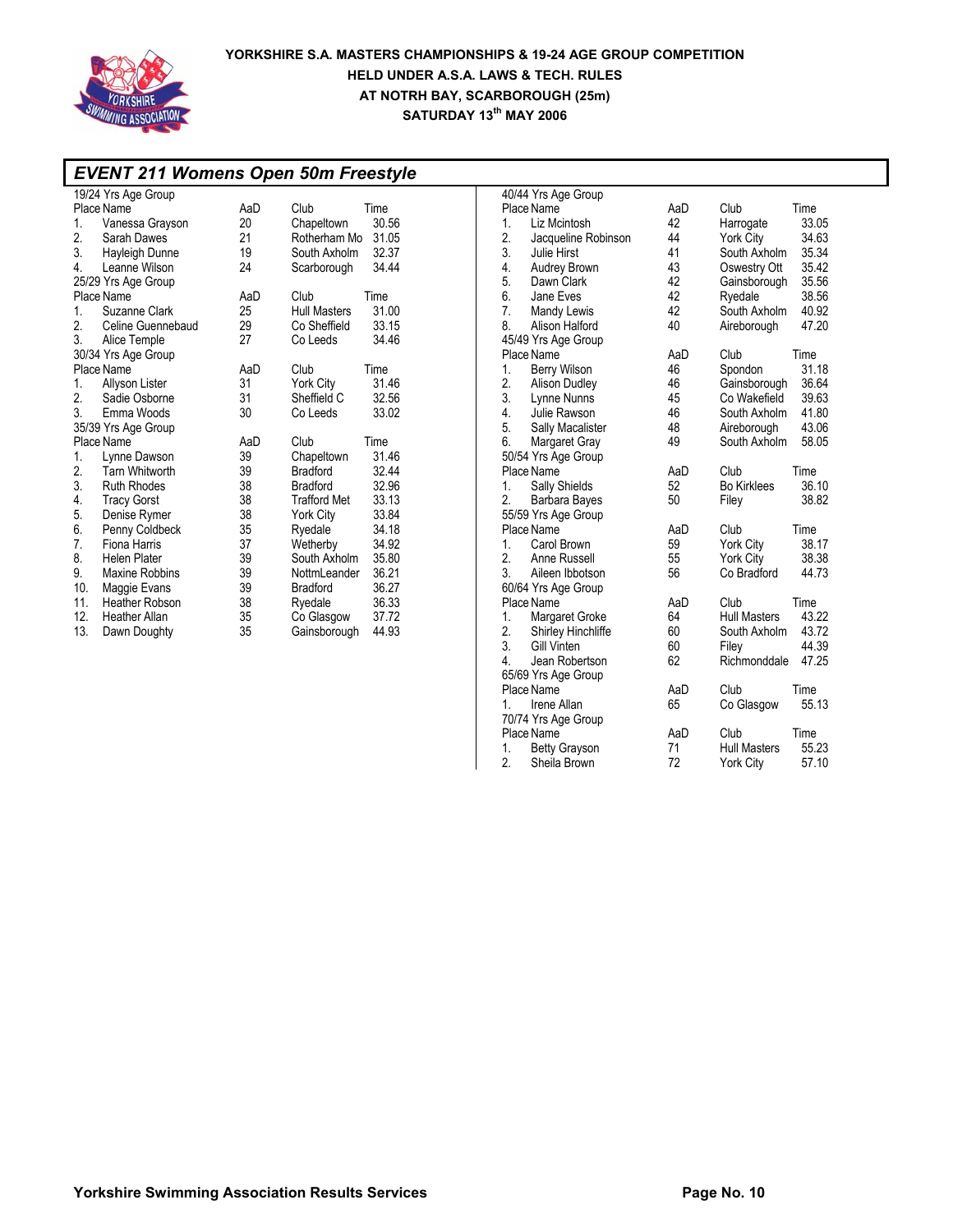

### *EVENT 211 Womens Open 50m Freestyle*  19/24 Yrs Age Group Place Name  $\begin{array}{ccc} 1. & 1. & 1. & 1. \\ 1. & 1. & 1. & 1. \\ 1. & 1. & 1. & 1. \\ 1. & 1. & 1. & 1. \\ 1. & 1. & 1. & 1. \\ 1. & 1. & 1. & 1. \\ 1. & 1. & 1. & 1. \\ 1. & 1. & 1. & 1. \\ 1. & 1. & 1. & 1. \\ 1. & 1. & 1. & 1. \\ 1. & 1. & 1. & 1. \\ 1. & 1. & 1. & 1. \\ 1. & 1. & 1.$ 1. Vanessa Grayson 20 Chapeltown 30.56 Rotherham Mo 3. Hayleigh Dunne 19 South Axholm 32.37<br>4. Leanne Wilson 24 Scarborough 34.44 4. Leanne Wilson 24 Scarborough 25/29 Yrs Age Group Place Name  $\begin{array}{ccc} \text{Place Name} & \text{AaD} & \text{Club} & \text{Time} \\ 1. & \text{Suzanne Clark} & 25 & \text{Hull Masters} & 31.00 \end{array}$ 1. Suzanne Clark 25 Hull Masters 31.00<br>2. Celine Guennebaud 29 Co Sheffield 33.15 Celine Guennebaud 29 Co Sheffield 33.15<br>Alice Temple 27 Co Leeds 34.46 3. Alice Temple 30/34 Yrs Age Group Place Name **AaD** Club Time<br>1. Allyson Lister 31 York City 31.46 1. Allyson Lister 31 York City 31.46 2. Sadie Osborne 31 Sheffield C 32.56 3. Emma Woods 35/39 Yrs Age Group Place Name  $A$ aD Club Time<br>1. Lynne Dawson 39 Chapeltown 31.46 Lynne Dawson 39 Chapelto<br>
1. Tarn Whitworth 39 Bradford 2. Tarn Whitworth 39 Bradford 32.44 Ruth Rhodes 4. Tracy Gorst 38 Trafford Met 33.13 5. Denise Rymer 38 York City 33.84 Penny Coldbeck 35 Ryedale 34.18<br>Fiona Harris 37 Wetherby 34.92 7. Fiona Harris 37 Wetherby 34.92 8. Helen Plater 1988 South Axholm 35.80<br>Maxine Robbins 39 NottmLeander 36.21 9. Maxine Robbins 39 NottmLeander 36.21<br>10. Maggie Evans 39 Bradford 36.27 Maggie Evans 11. Heather Robson 38 Ryedale 36.33 12. Heather Allan 35<br>
Dawn Doughty 35 13. Dawn Doughty 35 Gainsborough 44.93

|    | 40/44 Yrs Age Group  |     |                     |       |
|----|----------------------|-----|---------------------|-------|
|    | Place Name           | AaD | Club                | Time  |
| 1. | Liz Mcintosh         | 42  | Harrogate           | 33.05 |
| 2. | Jacqueline Robinson  | 44  | York City           | 34.63 |
| 3. | Julie Hirst          | 41  | South Axholm        | 35.34 |
| 4. | Audrey Brown         | 43  | Oswestry Ott        | 35.42 |
| 5. | Dawn Clark           | 42  | Gainsborough        | 35.56 |
| 6. | Jane Eves            | 42  | Ryedale             | 38.56 |
| 7. | Mandy Lewis          | 42  | South Axholm        | 40.92 |
| 8. | Alison Halford       | 40  | Aireborough         | 47.20 |
|    | 45/49 Yrs Age Group  |     |                     |       |
|    | Place Name           | AaD | Club                | Time  |
| 1. | Berry Wilson         | 46  | Spondon             | 31.18 |
| 2. | Alison Dudley        | 46  | Gainsborough        | 36.64 |
| 3. | Lynne Nunns          | 45  | Co Wakefield        | 39.63 |
| 4. | Julie Rawson         | 46  | South Axholm        | 41.80 |
| 5. | Sally Macalister     | 48  | Aireborough         | 43.06 |
| 6. | Margaret Gray        | 49  | South Axholm        | 58.05 |
|    | 50/54 Yrs Age Group  |     |                     |       |
|    | Place Name           | AaD | Club                | Time  |
| 1. | Sally Shields        | 52  | <b>Bo Kirklees</b>  | 36.10 |
| 2. | Barbara Bayes        | 50  | Filey               | 38.82 |
|    | 55/59 Yrs Age Group  |     |                     |       |
|    | Place Name           | AaD | Club                | Time  |
| 1. | Carol Brown          | 59  | <b>York City</b>    | 38.17 |
| 2. | Anne Russell         | 55  | York City           | 38.38 |
| 3. | Aileen Ibbotson      | 56  | Co Bradford         | 44.73 |
|    | 60/64 Yrs Age Group  |     |                     |       |
|    | Place Name           | AaD | Club                | Time  |
| 1. | Margaret Groke       | 64  | <b>Hull Masters</b> | 43.22 |
| 2. | Shirley Hinchliffe   | 60  | South Axholm        | 43.72 |
| 3. | Gill Vinten          | 60  | Filey               | 44.39 |
| 4. | Jean Robertson       | 62  | Richmonddale        | 47.25 |
|    | 65/69 Yrs Age Group  |     |                     |       |
|    | Place Name           | AaD | Club                | Time  |
| 1. | Irene Allan          | 65  | Co Glasgow          | 55.13 |
|    | 70/74 Yrs Age Group  |     |                     |       |
|    | Place Name           | AaD | Club                | Time  |
| 1. | <b>Betty Grayson</b> | 71  | <b>Hull Masters</b> | 55.23 |
| 2. | Sheila Brown         | 72  | <b>York City</b>    | 57.10 |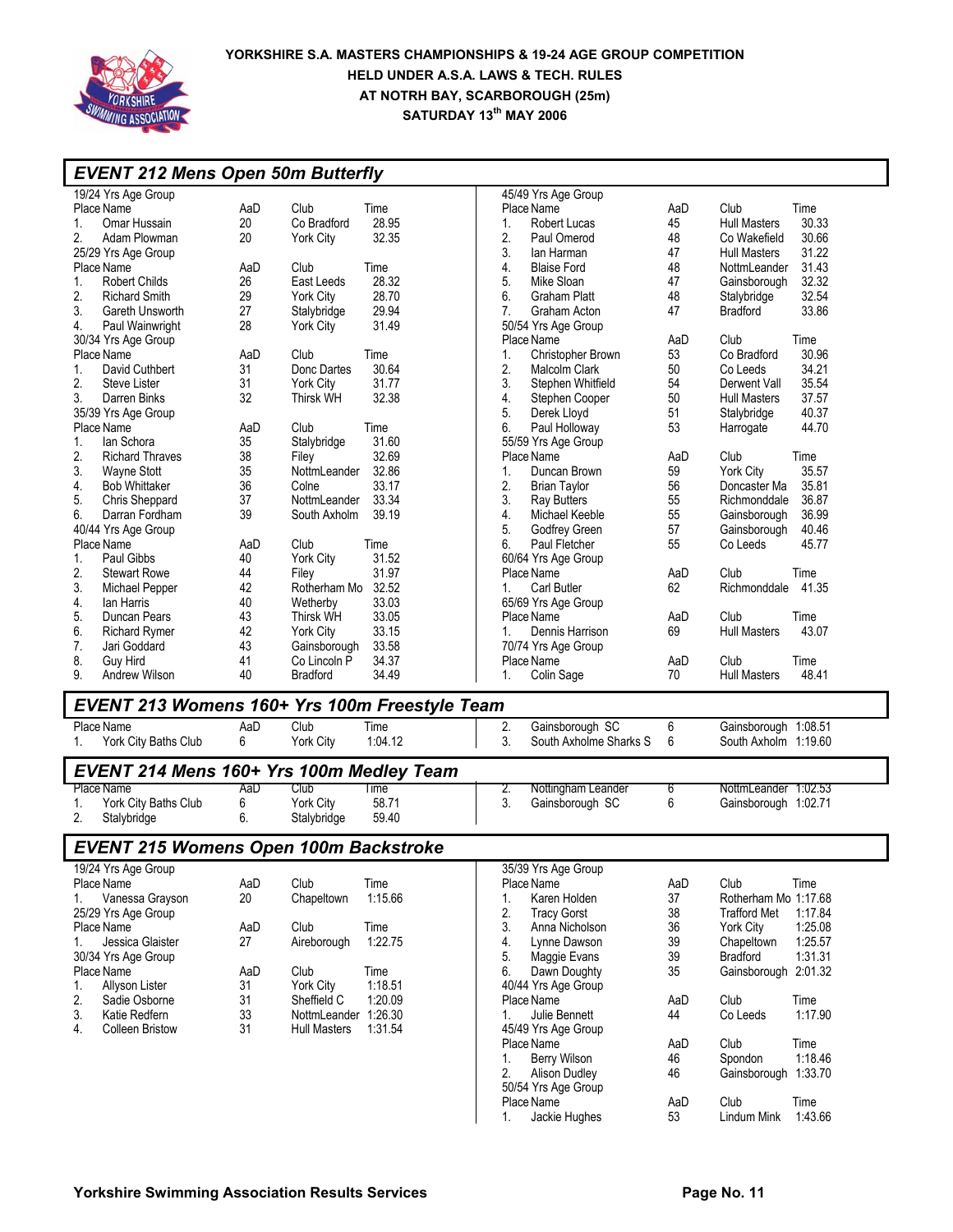

### **YORKSHIRE S.A. MASTERS CHAMPIONSHIPS & 19-24 AGE GROUP COMPETITION HELD UNDER A.S.A. LAWS & TECH. RULES AT NOTRH BAY, SCARBOROUGH (25m) SATURDAY 13<sup>th</sup> MAY 2006**

| <b>EVENT 212 Mens Open 50m Butterfly</b>             |          |                              |                |                                                       |          |                              |                 |
|------------------------------------------------------|----------|------------------------------|----------------|-------------------------------------------------------|----------|------------------------------|-----------------|
| 19/24 Yrs Age Group                                  |          |                              |                | 45/49 Yrs Age Group                                   |          |                              |                 |
| Place Name                                           | AaD      | Club                         | Time           | Place Name                                            | AaD      | Club                         | Time            |
| Omar Hussain<br>1.                                   | 20       | Co Bradford                  | 28.95          | 1.<br>Robert Lucas                                    | 45       | <b>Hull Masters</b>          | 30.33           |
| 2.<br>Adam Plowman                                   | 20       | <b>York City</b>             | 32.35          | 2.<br>Paul Omerod                                     | 48       | Co Wakefield                 | 30.66           |
| 25/29 Yrs Age Group                                  |          |                              |                | 3.<br>lan Harman                                      | 47       | <b>Hull Masters</b>          | 31.22           |
| Place Name                                           | AaD      | Club                         | Time           | 4.<br><b>Blaise Ford</b>                              | 48       | NottmLeander                 | 31.43           |
| <b>Robert Childs</b><br>1.                           | 26       | East Leeds                   | 28.32          | 5.<br>Mike Sloan                                      | 47       | Gainsborough                 | 32.32           |
| 2.<br><b>Richard Smith</b>                           | 29       | <b>York City</b>             | 28.70          | 6.<br>Graham Platt                                    | 48       | Stalybridge                  | 32.54           |
| 3.<br>Gareth Unsworth                                | 27       | Stalybridge                  | 29.94          | 7.<br>Graham Acton                                    | 47       | <b>Bradford</b>              | 33.86           |
| Paul Wainwright<br>4.                                | 28       | <b>York City</b>             | 31.49          | 50/54 Yrs Age Group                                   |          |                              |                 |
| 30/34 Yrs Age Group                                  |          |                              |                | Place Name                                            | AaD      | Club                         | Time            |
| Place Name                                           | AaD      | Club                         | Time           | Christopher Brown<br>1.                               | 53       | Co Bradford                  | 30.96           |
| David Cuthbert<br>1.                                 | 31       | Donc Dartes                  | 30.64          | 2.<br>Malcolm Clark                                   | 50       | Co Leeds                     | 34.21           |
| 2.<br><b>Steve Lister</b>                            | 31       | <b>York City</b>             | 31.77          | 3.<br>Stephen Whitfield                               | 54       | Derwent Vall                 | 35.54           |
| 3.<br>Darren Binks                                   | 32       | Thirsk WH                    | 32.38          | 4.<br>Stephen Cooper                                  | 50       | <b>Hull Masters</b>          | 37.57           |
| 35/39 Yrs Age Group                                  |          |                              |                | 5.<br>Derek Lloyd                                     | 51       | Stalybridge                  | 40.37           |
| Place Name                                           | AaD      | Club                         | Time           | 6.<br>Paul Holloway                                   | 53       | Harrogate                    | 44.70           |
| lan Schora<br>1.                                     | 35       | Stalybridge                  | 31.60          | 55/59 Yrs Age Group                                   |          |                              |                 |
| 2.<br><b>Richard Thraves</b>                         | 38       | Filey                        | 32.69          | Place Name                                            | AaD      | Club                         | Time            |
| 3.<br><b>Wayne Stott</b><br><b>Bob Whittaker</b>     | 35<br>36 | NottmLeander<br>Colne        | 32.86<br>33.17 | Duncan Brown<br>1.                                    | 59<br>56 | York City<br>Doncaster Ma    | 35.57<br>35.81  |
| 4.                                                   | 37       |                              | 33.34          | 2.<br><b>Brian Taylor</b><br>3.<br><b>Ray Butters</b> | 55       |                              | 36.87           |
| 5.<br>Chris Sheppard                                 | 39       | NottmLeander<br>South Axholm | 39.19          | 4.<br>Michael Keeble                                  | 55       | Richmonddale<br>Gainsborough | 36.99           |
| 6.<br>Darran Fordham<br>40/44 Yrs Age Group          |          |                              |                | 5.<br>Godfrey Green                                   | 57       | Gainsborough                 | 40.46           |
| Place Name                                           | AaD      | Club                         | Time           | 6.<br>Paul Fletcher                                   | 55       | Co Leeds                     | 45.77           |
| Paul Gibbs<br>1.                                     | 40       | York City                    | 31.52          | 60/64 Yrs Age Group                                   |          |                              |                 |
| 2.<br><b>Stewart Rowe</b>                            | 44       | Filey                        | 31.97          | Place Name                                            | AaD      | Club                         | Time            |
| 3.<br>Michael Pepper                                 | 42       | Rotherham Mo 32.52           |                | Carl Butler<br>1.                                     | 62       | Richmonddale                 | 41.35           |
| lan Harris<br>4.                                     | 40       | Wetherby                     | 33.03          | 65/69 Yrs Age Group                                   |          |                              |                 |
| 5.<br>Duncan Pears                                   | 43       | Thirsk WH                    | 33.05          | Place Name                                            | AaD      | Club                         | Time            |
| 6.<br><b>Richard Rymer</b>                           | 42       | York City                    | 33.15          | 1.<br>Dennis Harrison                                 | 69       | <b>Hull Masters</b>          | 43.07           |
| 7.<br>Jari Goddard                                   | 43       | Gainsborough                 | 33.58          | 70/74 Yrs Age Group                                   |          |                              |                 |
| 8.<br>Guy Hird                                       | 41       | Co Lincoln P                 | 34.37          | Place Name                                            | AaD      | Club                         | Time            |
| 9.<br>Andrew Wilson                                  | 40       | <b>Bradford</b>              | 34.49          | 1.<br>Colin Sage                                      | 70       | <b>Hull Masters</b>          | 48.41           |
|                                                      |          |                              |                |                                                       |          |                              |                 |
| <b>EVENT 213 Womens 160+ Yrs 100m Freestyle Team</b> |          |                              |                |                                                       |          |                              |                 |
| Place Name                                           | AaD      | Club                         | Time           | Gainsborough SC<br>2.                                 | 6        | Gainsborough 1:08.51         |                 |
| York City Baths Club<br>1.                           | 6        | York City                    | 1:04.12        | 3.<br>South Axholme Sharks S                          | 6        | South Axholm 1:19.60         |                 |
| EVENT 214 Mens 160+ Yrs 100m Medley Team             |          |                              |                |                                                       |          |                              |                 |
| Place Name                                           | AaD      | Club                         | Time           | Nottingham Leander<br>2.                              | 6        | NottmLeander 1:02.53         |                 |
| York City Baths Club<br>1.                           | 6        | <b>York City</b>             | 58.71          | 3.<br>Gainsborough SC                                 | 6        | Gainsborough 1:02.71         |                 |
| 2.<br>Stalybridge                                    | 6.       | Stalybridge                  | 59.40          |                                                       |          |                              |                 |
| EVENT 215 Womens Open 100m Backstroke                |          |                              |                |                                                       |          |                              |                 |
| 19/24 Yrs Age Group                                  |          |                              |                | 35/39 Yrs Age Group                                   |          |                              |                 |
| Place Name                                           | AaD      | Club                         | Time           | Place Name                                            | AaD      | Club                         | Time            |
| Vanessa Grayson<br>1.                                | 20       | Chapeltown                   | 1:15.66        | Karen Holden<br>1.                                    | 37       | Rotherham Mo 1:17.68         |                 |
| 25/29 Yrs Age Group                                  |          |                              |                | 2.<br><b>Tracy Gorst</b>                              | 38       | <b>Trafford Met</b>          | 1:17.84         |
| Place Name                                           | AaD      | Club                         | Time           | 3.<br>Anna Nicholson                                  | 36       | York City                    | 1:25.08         |
| Jessica Glaister<br>1.                               | 27       | Aireborough                  | 1:22.75        | 4.<br>Lynne Dawson                                    | 39       | Chapeltown                   | 1:25.57         |
| 30/34 Yrs Age Group                                  |          |                              |                | 5.<br>Maggie Evans                                    | 39       | <b>Bradford</b>              | 1:31.31         |
| Place Name                                           | AaD      | Club                         | Time           | Dawn Doughty<br>6.                                    | 35       | Gainsborough 2:01.32         |                 |
| Allyson Lister<br>1.                                 | 31       | York City                    | 1:18.51        | 40/44 Yrs Age Group                                   |          |                              |                 |
| 2.<br>Sadie Osborne                                  | 31       | Sheffield C                  | 1:20.09        | Place Name                                            | AaD      | Club                         | Time            |
| 3.<br>Katie Redfern                                  | 33       | NottmLeander 1:26.30         |                | Julie Bennett<br>1.                                   | 44       | Co Leeds                     | 1:17.90         |
| 4.<br><b>Colleen Bristow</b>                         | 31       | Hull Masters                 | 1:31.54        | 45/49 Yrs Age Group                                   |          |                              |                 |
|                                                      |          |                              |                | Place Name                                            | AaD      | Club<br>Spondon              | Time<br>1:18.46 |
|                                                      |          |                              |                | Berry Wilson<br>1.<br>2.<br>Alison Dudley             | 46<br>46 | Gainsborough 1:33.70         |                 |
|                                                      |          |                              |                | 50/54 Yrs Age Group                                   |          |                              |                 |
|                                                      |          |                              |                | Place Name                                            | AaD      | Club                         | Time            |
|                                                      |          |                              |                |                                                       |          |                              |                 |

1. Jackie Hughes 53 Lindum Mink 1:43.66